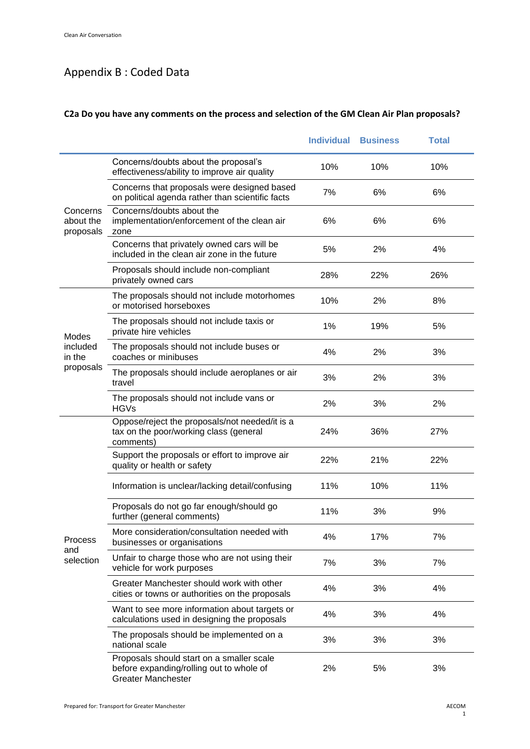# Appendix B : Coded Data

### **C2a Do you have any comments on the process and selection of the GM Clean Air Plan proposals?**

|                        |                                                                                                                    | <b>Individual</b> | <b>Business</b> | <b>Total</b> |
|------------------------|--------------------------------------------------------------------------------------------------------------------|-------------------|-----------------|--------------|
|                        | Concerns/doubts about the proposal's<br>effectiveness/ability to improve air quality                               | 10%               | 10%             | 10%          |
| Concerns               | Concerns that proposals were designed based<br>on political agenda rather than scientific facts                    | 7%                | 6%              | 6%           |
| about the<br>proposals | Concerns/doubts about the<br>implementation/enforcement of the clean air<br>zone                                   | 6%                | 6%              | 6%           |
|                        | Concerns that privately owned cars will be<br>included in the clean air zone in the future                         | 5%                | 2%              | 4%           |
|                        | Proposals should include non-compliant<br>privately owned cars                                                     | 28%               | 22%             | 26%          |
|                        | The proposals should not include motorhomes<br>or motorised horseboxes                                             | 10%               | 2%              | 8%           |
| Modes                  | The proposals should not include taxis or<br>private hire vehicles                                                 | 1%                | 19%             | 5%           |
| included<br>in the     | The proposals should not include buses or<br>coaches or minibuses                                                  | 4%                | 2%              | 3%           |
| proposals              | The proposals should include aeroplanes or air<br>travel                                                           | 3%                | 2%              | 3%           |
|                        | The proposals should not include vans or<br><b>HGVs</b>                                                            | 2%                | 3%              | 2%           |
|                        | Oppose/reject the proposals/not needed/it is a<br>tax on the poor/working class (general<br>comments)              | 24%               | 36%             | 27%          |
|                        | Support the proposals or effort to improve air<br>quality or health or safety                                      | 22%               | 21%             | 22%          |
|                        | Information is unclear/lacking detail/confusing                                                                    | 11%               | 10%             | 11%          |
|                        | Proposals do not go far enough/should go<br>further (general comments)                                             | 11%               | 3%              | 9%           |
| Process                | More consideration/consultation needed with<br>businesses or organisations                                         | 4%                | 17%             | 7%           |
| and<br>selection       | Unfair to charge those who are not using their<br>vehicle for work purposes                                        | 7%                | 3%              | 7%           |
|                        | Greater Manchester should work with other<br>cities or towns or authorities on the proposals                       | 4%                | 3%              | 4%           |
|                        | Want to see more information about targets or<br>calculations used in designing the proposals                      | 4%                | 3%              | 4%           |
|                        | The proposals should be implemented on a<br>national scale                                                         | 3%                | 3%              | 3%           |
|                        | Proposals should start on a smaller scale<br>before expanding/rolling out to whole of<br><b>Greater Manchester</b> | 2%                | 5%              | 3%           |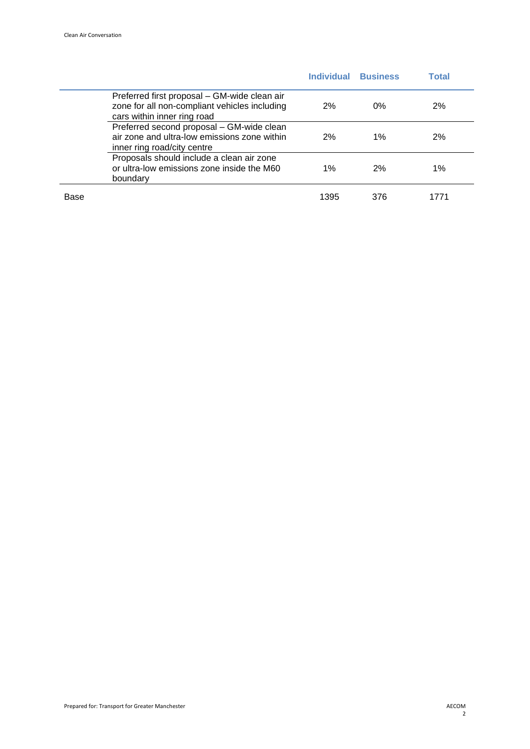|      |                                                                                                                              | <b>Individual</b> | <b>Business</b> | Total |
|------|------------------------------------------------------------------------------------------------------------------------------|-------------------|-----------------|-------|
|      | Preferred first proposal – GM-wide clean air<br>zone for all non-compliant vehicles including<br>cars within inner ring road | 2%                | $0\%$           | 2%    |
|      | Preferred second proposal - GM-wide clean<br>air zone and ultra-low emissions zone within<br>inner ring road/city centre     | 2%                | $1\%$           | 2%    |
|      | Proposals should include a clean air zone<br>or ultra-low emissions zone inside the M60<br>boundary                          | $1\%$             | 2%              | 1%    |
| Base |                                                                                                                              | 1395              | 376             | 1771  |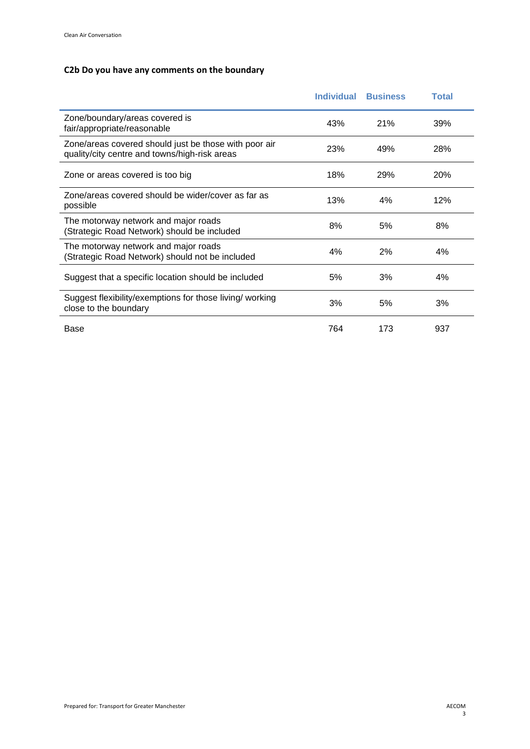### **C2b Do you have any comments on the boundary**

|                                                                                                        | <b>Individual</b> | <b>Business</b> | Total |
|--------------------------------------------------------------------------------------------------------|-------------------|-----------------|-------|
| Zone/boundary/areas covered is<br>fair/appropriate/reasonable                                          | 43%               | 21%             | 39%   |
| Zone/areas covered should just be those with poor air<br>quality/city centre and towns/high-risk areas | 23%               | 49%             | 28%   |
| Zone or areas covered is too big                                                                       | 18%               | 29%             | 20%   |
| Zone/areas covered should be wider/cover as far as<br>possible                                         | 13%               | 4%              | 12%   |
| The motorway network and major roads<br>(Strategic Road Network) should be included                    | 8%                | 5%              | 8%    |
| The motorway network and major roads<br>Strategic Road Network) should not be included                 | 4%                | 2%              | 4%    |
| Suggest that a specific location should be included                                                    | 5%                | 3%              | 4%    |
| Suggest flexibility/exemptions for those living/ working<br>close to the boundary                      | 3%                | 5%              | 3%    |
| Base                                                                                                   | 764               | 173             | 937   |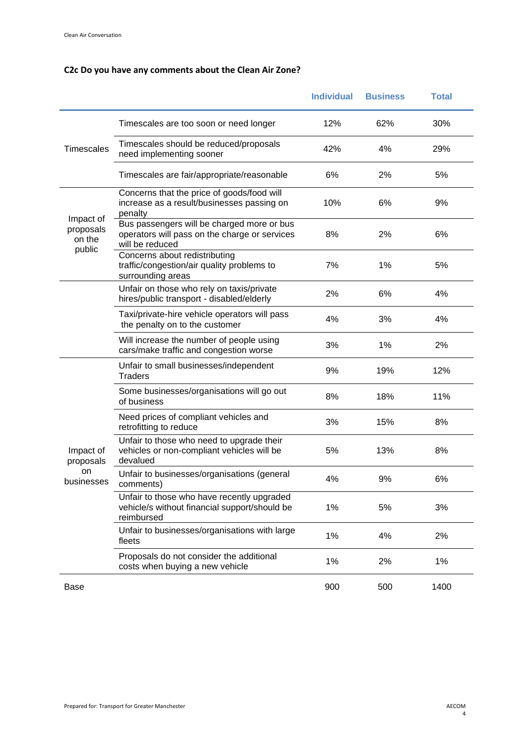### **C2c Do you have any comments about the Clean Air Zone?**

|                               |                                                                                                                | <b>Individual</b> | <b>Business</b> | <b>Total</b> |
|-------------------------------|----------------------------------------------------------------------------------------------------------------|-------------------|-----------------|--------------|
|                               | Timescales are too soon or need longer                                                                         | 12%               | 62%             | 30%          |
| <b>Timescales</b>             | Timescales should be reduced/proposals<br>need implementing sooner                                             | 42%               | 4%              | 29%          |
|                               | Timescales are fair/appropriate/reasonable                                                                     | 6%                | 2%              | 5%           |
| Impact of                     | Concerns that the price of goods/food will<br>increase as a result/businesses passing on<br>penalty            | 10%               | 6%              | 9%           |
| proposals<br>on the<br>public | Bus passengers will be charged more or bus<br>operators will pass on the charge or services<br>will be reduced | 8%                | 2%              | 6%           |
|                               | Concerns about redistributing<br>traffic/congestion/air quality problems to<br>surrounding areas               | 7%                | 1%              | 5%           |
|                               | Unfair on those who rely on taxis/private<br>hires/public transport - disabled/elderly                         | 2%                | 6%              | 4%           |
|                               | Taxi/private-hire vehicle operators will pass<br>the penalty on to the customer                                | 4%                | 3%              | 4%           |
|                               | Will increase the number of people using<br>cars/make traffic and congestion worse                             | 3%                | 1%              | 2%           |
|                               | Unfair to small businesses/independent<br><b>Traders</b>                                                       | 9%                | 19%             | 12%          |
|                               | Some businesses/organisations will go out<br>of business                                                       | 8%                | 18%             | 11%          |
|                               | Need prices of compliant vehicles and<br>retrofitting to reduce                                                | 3%                | 15%             | 8%           |
| Impact of<br>proposals        | Unfair to those who need to upgrade their<br>vehicles or non-compliant vehicles will be<br>devalued            | 5%                | 13%             | 8%           |
| on<br>businesses              | Unfair to businesses/organisations (general<br>comments)                                                       | 4%                | 9%              | 6%           |
|                               | Unfair to those who have recently upgraded<br>vehicle/s without financial support/should be<br>reimbursed      | 1%                | 5%              | 3%           |
|                               | Unfair to businesses/organisations with large<br>fleets                                                        | 1%                | 4%              | 2%           |
|                               | Proposals do not consider the additional<br>costs when buying a new vehicle                                    | 1%                | 2%              | 1%           |
| Base                          |                                                                                                                | 900               | 500             | 1400         |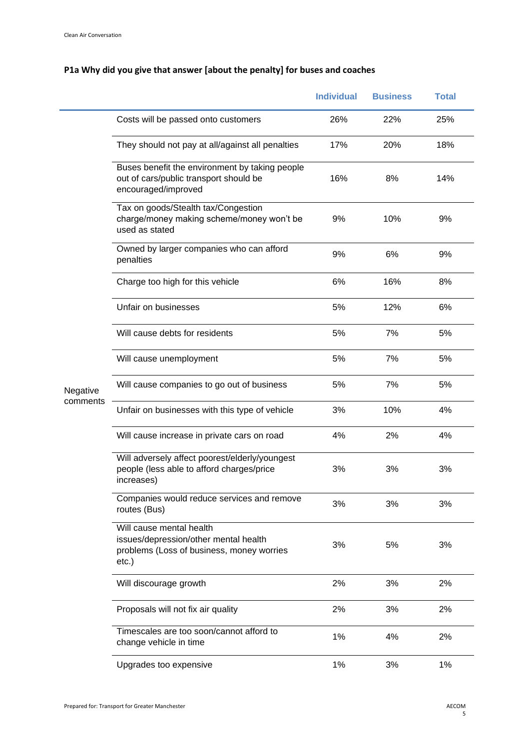# **P1a Why did you give that answer [about the penalty] for buses and coaches**

|          |                                                                                                                            | <b>Individual</b> | <b>Business</b> | <b>Total</b> |
|----------|----------------------------------------------------------------------------------------------------------------------------|-------------------|-----------------|--------------|
|          | Costs will be passed onto customers                                                                                        | 26%               | 22%             | 25%          |
|          | They should not pay at all/against all penalties                                                                           | 17%               | 20%             | 18%          |
|          | Buses benefit the environment by taking people<br>out of cars/public transport should be<br>encouraged/improved            | 16%               | 8%              | 14%          |
|          | Tax on goods/Stealth tax/Congestion<br>charge/money making scheme/money won't be<br>used as stated                         | 9%                | 10%             | 9%           |
|          | Owned by larger companies who can afford<br>penalties                                                                      | 9%                | 6%              | 9%           |
|          | Charge too high for this vehicle                                                                                           | 6%                | 16%             | 8%           |
|          | Unfair on businesses                                                                                                       | 5%                | 12%             | 6%           |
|          | Will cause debts for residents                                                                                             | 5%                | 7%              | 5%           |
|          | Will cause unemployment                                                                                                    | 5%                | 7%              | 5%           |
| Negative | Will cause companies to go out of business                                                                                 | 5%                | 7%              | 5%           |
| comments | Unfair on businesses with this type of vehicle                                                                             | 3%                | 10%             | 4%           |
|          | Will cause increase in private cars on road                                                                                | 4%                | 2%              | 4%           |
|          | Will adversely affect poorest/elderly/youngest<br>people (less able to afford charges/price<br>increases)                  | 3%                | 3%              | 3%           |
|          | Companies would reduce services and remove<br>routes (Bus)                                                                 | 3%                | 3%              | 3%           |
|          | Will cause mental health<br>issues/depression/other mental health<br>problems (Loss of business, money worries<br>$etc.$ ) | 3%                | 5%              | 3%           |
|          | Will discourage growth                                                                                                     | 2%                | 3%              | 2%           |
|          | Proposals will not fix air quality                                                                                         | 2%                | 3%              | 2%           |
|          | Timescales are too soon/cannot afford to<br>change vehicle in time                                                         | 1%                | 4%              | 2%           |
|          | Upgrades too expensive                                                                                                     | 1%                | 3%              | 1%           |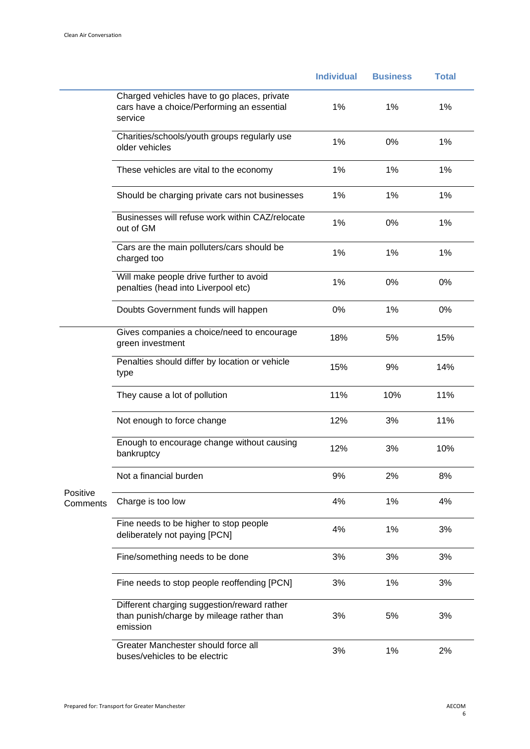|                      |                                                                                                      | <b>Individual</b> | <b>Business</b> | <b>Total</b> |
|----------------------|------------------------------------------------------------------------------------------------------|-------------------|-----------------|--------------|
|                      | Charged vehicles have to go places, private<br>cars have a choice/Performing an essential<br>service | 1%                | 1%              | 1%           |
|                      | Charities/schools/youth groups regularly use<br>older vehicles                                       | 1%                | 0%              | 1%           |
|                      | These vehicles are vital to the economy                                                              | 1%                | 1%              | 1%           |
|                      | Should be charging private cars not businesses                                                       | 1%                | 1%              | 1%           |
|                      | Businesses will refuse work within CAZ/relocate<br>out of GM                                         | 1%                | 0%              | 1%           |
|                      | Cars are the main polluters/cars should be<br>charged too                                            | 1%                | 1%              | 1%           |
|                      | Will make people drive further to avoid<br>penalties (head into Liverpool etc)                       | 1%                | 0%              | 0%           |
|                      | Doubts Government funds will happen                                                                  | $0\%$             | 1%              | 0%           |
|                      | Gives companies a choice/need to encourage<br>green investment                                       | 18%               | 5%              | 15%          |
|                      | Penalties should differ by location or vehicle<br>type                                               | 15%               | 9%              | 14%          |
|                      | They cause a lot of pollution                                                                        | 11%               | 10%             | 11%          |
|                      | Not enough to force change                                                                           | 12%               | 3%              | 11%          |
|                      | Enough to encourage change without causing<br>bankruptcy                                             | 12%               | 3%              | 10%          |
|                      | Not a financial burden                                                                               | 9%                | 2%              | 8%           |
| Positive<br>Comments | Charge is too low                                                                                    | 4%                | 1%              | 4%           |
|                      | Fine needs to be higher to stop people<br>deliberately not paying [PCN]                              | 4%                | 1%              | 3%           |
|                      | Fine/something needs to be done                                                                      | 3%                | 3%              | 3%           |
|                      | Fine needs to stop people reoffending [PCN]                                                          | 3%                | 1%              | 3%           |
|                      | Different charging suggestion/reward rather<br>than punish/charge by mileage rather than<br>emission | 3%                | 5%              | 3%           |
|                      | Greater Manchester should force all<br>buses/vehicles to be electric                                 | 3%                | 1%              | 2%           |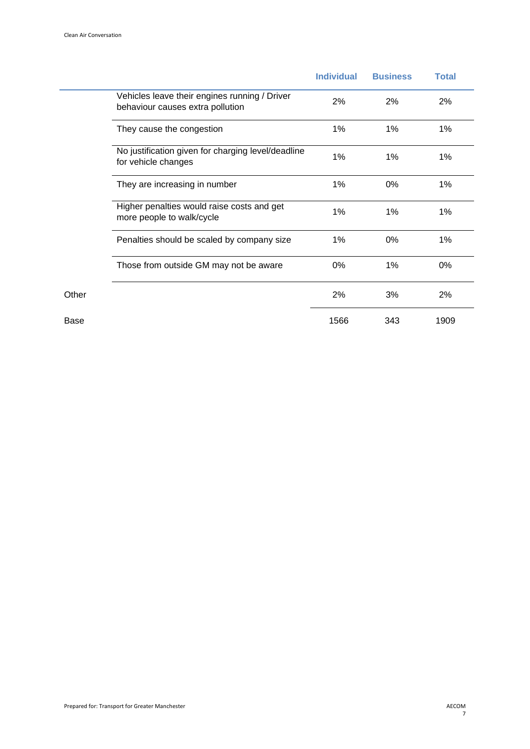|       |                                                                                   | <b>Individual</b> | <b>Business</b> | <b>Total</b> |
|-------|-----------------------------------------------------------------------------------|-------------------|-----------------|--------------|
|       | Vehicles leave their engines running / Driver<br>behaviour causes extra pollution | 2%                | 2%              | 2%           |
|       | They cause the congestion                                                         | 1%                | 1%              | 1%           |
|       | No justification given for charging level/deadline<br>for vehicle changes         | 1%                | 1%              | 1%           |
|       | They are increasing in number                                                     | 1%                | 0%              | 1%           |
|       | Higher penalties would raise costs and get<br>more people to walk/cycle           | 1%                | 1%              | 1%           |
|       | Penalties should be scaled by company size                                        | 1%                | 0%              | 1%           |
|       | Those from outside GM may not be aware                                            | 0%                | 1%              | 0%           |
| Other |                                                                                   | 2%                | 3%              | 2%           |
| Base  |                                                                                   | 1566              | 343             | 1909         |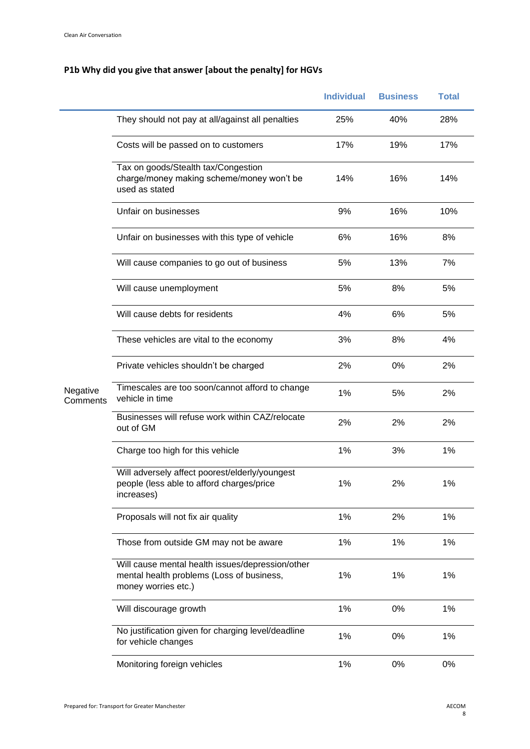# **P1b Why did you give that answer [about the penalty] for HGVs**

|                      |                                                                                                                      | <b>Individual</b> | <b>Business</b> | <b>Total</b> |
|----------------------|----------------------------------------------------------------------------------------------------------------------|-------------------|-----------------|--------------|
|                      | They should not pay at all/against all penalties                                                                     | 25%               | 40%             | 28%          |
|                      | Costs will be passed on to customers                                                                                 | 17%               | 19%             | 17%          |
|                      | Tax on goods/Stealth tax/Congestion<br>charge/money making scheme/money won't be<br>used as stated                   | 14%               | 16%             | 14%          |
|                      | Unfair on businesses                                                                                                 | 9%                | 16%             | 10%          |
|                      | Unfair on businesses with this type of vehicle                                                                       | 6%                | 16%             | 8%           |
|                      | Will cause companies to go out of business                                                                           | 5%                | 13%             | 7%           |
|                      | Will cause unemployment                                                                                              | 5%                | 8%              | 5%           |
|                      | Will cause debts for residents                                                                                       | 4%                | 6%              | 5%           |
|                      | These vehicles are vital to the economy                                                                              | 3%                | 8%              | 4%           |
|                      | Private vehicles shouldn't be charged                                                                                | 2%                | 0%              | 2%           |
| Negative<br>Comments | Timescales are too soon/cannot afford to change<br>vehicle in time                                                   | 1%                | 5%              | 2%           |
|                      | Businesses will refuse work within CAZ/relocate<br>out of GM                                                         | 2%                | 2%              | 2%           |
|                      | Charge too high for this vehicle                                                                                     | 1%                | 3%              | 1%           |
|                      | Will adversely affect poorest/elderly/youngest<br>people (less able to afford charges/price<br>increases)            | 1%                | 2%              | 1%           |
|                      | Proposals will not fix air quality                                                                                   | 1%                | 2%              | 1%           |
|                      | Those from outside GM may not be aware                                                                               | 1%                | 1%              | 1%           |
|                      | Will cause mental health issues/depression/other<br>mental health problems (Loss of business,<br>money worries etc.) | 1%                | 1%              | 1%           |
|                      | Will discourage growth                                                                                               | 1%                | 0%              | 1%           |
|                      | No justification given for charging level/deadline<br>for vehicle changes                                            | 1%                | 0%              | 1%           |
|                      | Monitoring foreign vehicles                                                                                          | $1\%$             | 0%              | 0%           |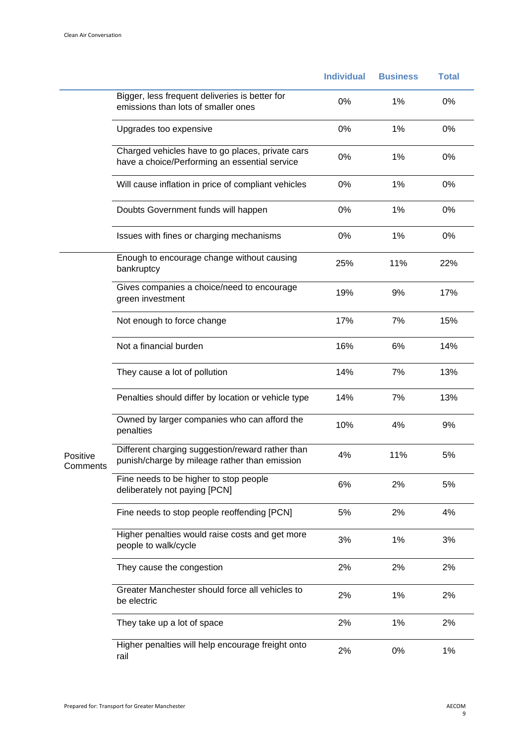|                      |                                                                                                   | <b>Individual</b> | <b>Business</b> | <b>Total</b> |
|----------------------|---------------------------------------------------------------------------------------------------|-------------------|-----------------|--------------|
|                      | Bigger, less frequent deliveries is better for<br>emissions than lots of smaller ones             | 0%                | 1%              | 0%           |
|                      | Upgrades too expensive                                                                            | 0%                | 1%              | 0%           |
|                      | Charged vehicles have to go places, private cars<br>have a choice/Performing an essential service | 0%                | 1%              | 0%           |
|                      | Will cause inflation in price of compliant vehicles                                               | 0%                | 1%              | 0%           |
|                      | Doubts Government funds will happen                                                               | 0%                | 1%              | 0%           |
|                      | Issues with fines or charging mechanisms                                                          | 0%                | 1%              | 0%           |
|                      | Enough to encourage change without causing<br>bankruptcy                                          | 25%               | 11%             | 22%          |
|                      | Gives companies a choice/need to encourage<br>green investment                                    | 19%               | 9%              | 17%          |
|                      | Not enough to force change                                                                        | 17%               | 7%              | 15%          |
|                      | Not a financial burden                                                                            | 16%               | 6%              | 14%          |
|                      | They cause a lot of pollution                                                                     | 14%               | 7%              | 13%          |
|                      | Penalties should differ by location or vehicle type                                               | 14%               | 7%              | 13%          |
|                      | Owned by larger companies who can afford the<br>penalties                                         | 10%               | 4%              | 9%           |
| Positive<br>Comments | Different charging suggestion/reward rather than<br>punish/charge by mileage rather than emission | 4%                | 11%             | 5%           |
|                      | Fine needs to be higher to stop people<br>deliberately not paying [PCN]                           | 6%                | 2%              | 5%           |
|                      | Fine needs to stop people reoffending [PCN]                                                       | 5%                | 2%              | 4%           |
|                      | Higher penalties would raise costs and get more<br>people to walk/cycle                           | 3%                | 1%              | 3%           |
|                      | They cause the congestion                                                                         | 2%                | 2%              | 2%           |
|                      | Greater Manchester should force all vehicles to<br>be electric                                    | 2%                | 1%              | 2%           |
|                      | They take up a lot of space                                                                       | 2%                | 1%              | 2%           |
|                      | Higher penalties will help encourage freight onto<br>rail                                         | 2%                | 0%              | 1%           |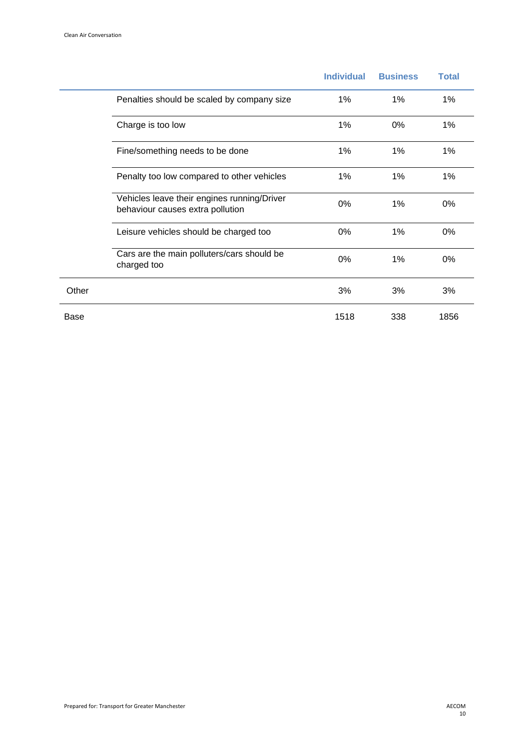|       |                                                                                 | <b>Individual</b> | <b>Business</b> | <b>Total</b> |
|-------|---------------------------------------------------------------------------------|-------------------|-----------------|--------------|
|       | Penalties should be scaled by company size                                      | 1%                | 1%              | $1\%$        |
|       | Charge is too low                                                               | 1%                | $0\%$           | $1\%$        |
|       | Fine/something needs to be done                                                 | 1%                | 1%              | $1\%$        |
|       | Penalty too low compared to other vehicles                                      | 1%                | 1%              | 1%           |
|       | Vehicles leave their engines running/Driver<br>behaviour causes extra pollution | 0%                | 1%              | 0%           |
|       | Leisure vehicles should be charged too                                          | $0\%$             | 1%              | 0%           |
|       | Cars are the main polluters/cars should be<br>charged too                       | $0\%$             | 1%              | 0%           |
| Other |                                                                                 | 3%                | 3%              | 3%           |
| Base  |                                                                                 | 1518              | 338             | 1856         |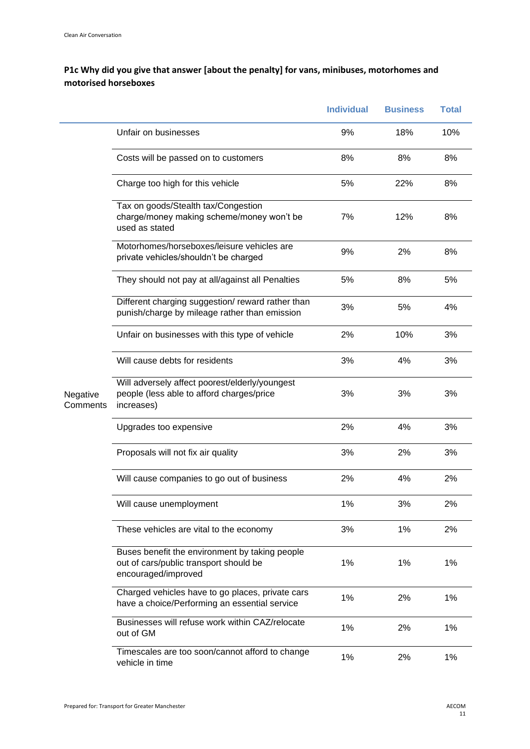#### **P1c Why did you give that answer [about the penalty] for vans, minibuses, motorhomes and motorised horseboxes**

|                      |                                                                                                                 | <b>Individual</b> | <b>Business</b> | <b>Total</b> |
|----------------------|-----------------------------------------------------------------------------------------------------------------|-------------------|-----------------|--------------|
|                      | Unfair on businesses                                                                                            | 9%                | 18%             | 10%          |
|                      | Costs will be passed on to customers                                                                            | 8%                | 8%              | 8%           |
|                      | Charge too high for this vehicle                                                                                | 5%                | 22%             | 8%           |
|                      | Tax on goods/Stealth tax/Congestion<br>charge/money making scheme/money won't be<br>used as stated              | 7%                | 12%             | 8%           |
|                      | Motorhomes/horseboxes/leisure vehicles are<br>private vehicles/shouldn't be charged                             | 9%                | 2%              | 8%           |
|                      | They should not pay at all/against all Penalties                                                                | 5%                | 8%              | 5%           |
|                      | Different charging suggestion/reward rather than<br>punish/charge by mileage rather than emission               | 3%                | 5%              | 4%           |
|                      | Unfair on businesses with this type of vehicle                                                                  | 2%                | 10%             | 3%           |
|                      | Will cause debts for residents                                                                                  | 3%                | 4%              | 3%           |
| Negative<br>Comments | Will adversely affect poorest/elderly/youngest<br>people (less able to afford charges/price<br>increases)       | 3%                | 3%              | 3%           |
|                      | Upgrades too expensive                                                                                          | 2%                | 4%              | 3%           |
|                      | Proposals will not fix air quality                                                                              | 3%                | 2%              | 3%           |
|                      | Will cause companies to go out of business                                                                      | 2%                | 4%              | 2%           |
|                      | Will cause unemployment                                                                                         | 1%                | 3%              | 2%           |
|                      | These vehicles are vital to the economy                                                                         | 3%                | 1%              | 2%           |
|                      | Buses benefit the environment by taking people<br>out of cars/public transport should be<br>encouraged/improved | 1%                | 1%              | 1%           |
|                      | Charged vehicles have to go places, private cars<br>have a choice/Performing an essential service               | 1%                | 2%              | 1%           |
|                      | Businesses will refuse work within CAZ/relocate<br>out of GM                                                    | 1%                | 2%              | 1%           |
|                      | Timescales are too soon/cannot afford to change<br>vehicle in time                                              | 1%                | 2%              | 1%           |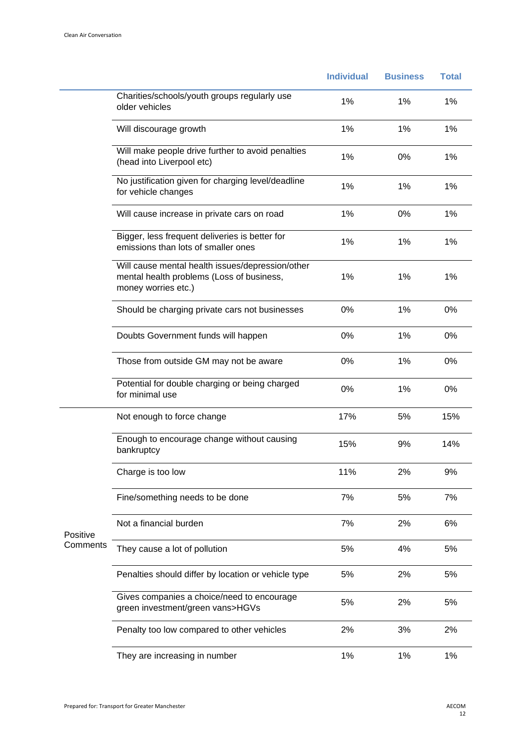|                      |                                                                                                                      | <b>Individual</b> | <b>Business</b> | <b>Total</b> |
|----------------------|----------------------------------------------------------------------------------------------------------------------|-------------------|-----------------|--------------|
|                      | Charities/schools/youth groups regularly use<br>older vehicles                                                       | 1%                | 1%              | 1%           |
|                      | Will discourage growth                                                                                               | 1%                | 1%              | 1%           |
|                      | Will make people drive further to avoid penalties<br>(head into Liverpool etc)                                       | 1%                | 0%              | 1%           |
|                      | No justification given for charging level/deadline<br>for vehicle changes                                            | 1%                | 1%              | 1%           |
|                      | Will cause increase in private cars on road                                                                          | 1%                | 0%              | 1%           |
|                      | Bigger, less frequent deliveries is better for<br>emissions than lots of smaller ones                                | 1%                | 1%              | 1%           |
|                      | Will cause mental health issues/depression/other<br>mental health problems (Loss of business,<br>money worries etc.) | 1%                | 1%              | 1%           |
|                      | Should be charging private cars not businesses                                                                       | 0%                | 1%              | 0%           |
|                      | Doubts Government funds will happen                                                                                  | 0%                | 1%              | 0%           |
|                      | Those from outside GM may not be aware                                                                               | 0%                | 1%              | 0%           |
|                      | Potential for double charging or being charged<br>for minimal use                                                    | 0%                | 1%              | 0%           |
|                      | Not enough to force change                                                                                           | 17%               | 5%              | 15%          |
|                      | Enough to encourage change without causing<br>bankruptcy                                                             | 15%               | 9%              | 14%          |
|                      | Charge is too low                                                                                                    | 11%               | 2%              | 9%           |
|                      | Fine/something needs to be done                                                                                      | 7%                | 5%              | 7%           |
| Positive<br>Comments | Not a financial burden                                                                                               | 7%                | 2%              | 6%           |
|                      | They cause a lot of pollution                                                                                        | 5%                | 4%              | 5%           |
|                      | Penalties should differ by location or vehicle type                                                                  | 5%                | 2%              | 5%           |
|                      | Gives companies a choice/need to encourage<br>green investment/green vans>HGVs                                       | 5%                | 2%              | 5%           |
|                      | Penalty too low compared to other vehicles                                                                           | 2%                | 3%              | 2%           |
|                      | They are increasing in number                                                                                        | 1%                | 1%              | 1%           |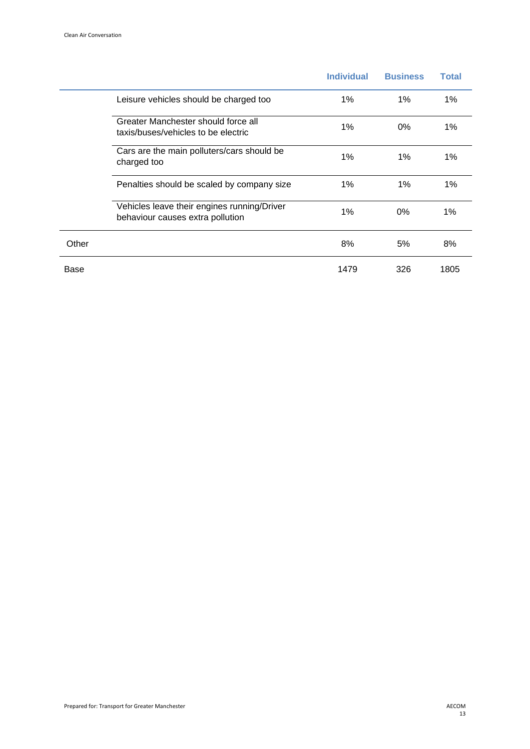|       |                                                                                 | <b>Individual</b> | <b>Business</b> | <b>Total</b> |
|-------|---------------------------------------------------------------------------------|-------------------|-----------------|--------------|
|       | Leisure vehicles should be charged too                                          | 1%                | 1%              | $1\%$        |
|       | Greater Manchester should force all<br>taxis/buses/vehicles to be electric      | 1%                | $0\%$           | $1\%$        |
|       | Cars are the main polluters/cars should be<br>charged too                       | 1%                | 1%              | 1%           |
|       | Penalties should be scaled by company size                                      | 1%                | 1%              | 1%           |
|       | Vehicles leave their engines running/Driver<br>behaviour causes extra pollution | 1%                | $0\%$           | 1%           |
| Other |                                                                                 | 8%                | 5%              | 8%           |
| Base  |                                                                                 | 1479              | 326             | 1805         |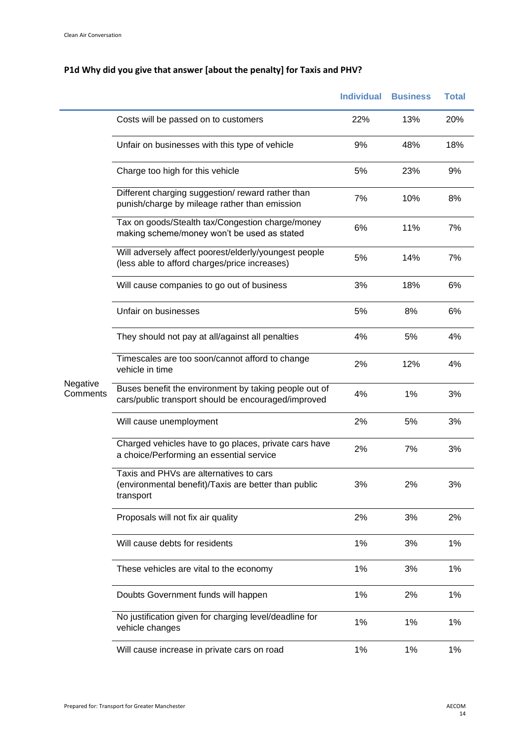# **P1d Why did you give that answer [about the penalty] for Taxis and PHV?**

|                      |                                                                                                              | <b>Individual</b> | <b>Business</b> | <b>Total</b> |
|----------------------|--------------------------------------------------------------------------------------------------------------|-------------------|-----------------|--------------|
|                      | Costs will be passed on to customers                                                                         | 22%               | 13%             | 20%          |
|                      | Unfair on businesses with this type of vehicle                                                               | 9%                | 48%             | 18%          |
|                      | Charge too high for this vehicle                                                                             | 5%                | 23%             | 9%           |
|                      | Different charging suggestion/reward rather than<br>punish/charge by mileage rather than emission            | 7%                | 10%             | 8%           |
|                      | Tax on goods/Stealth tax/Congestion charge/money<br>making scheme/money won't be used as stated              | 6%                | 11%             | 7%           |
|                      | Will adversely affect poorest/elderly/youngest people<br>(less able to afford charges/price increases)       | 5%                | 14%             | 7%           |
|                      | Will cause companies to go out of business                                                                   | 3%                | 18%             | 6%           |
|                      | Unfair on businesses                                                                                         | 5%                | 8%              | 6%           |
|                      | They should not pay at all/against all penalties                                                             | 4%                | 5%              | 4%           |
|                      | Timescales are too soon/cannot afford to change<br>vehicle in time                                           | 2%                | 12%             | 4%           |
| Negative<br>Comments | Buses benefit the environment by taking people out of<br>cars/public transport should be encouraged/improved | 4%                | 1%              | 3%           |
|                      | Will cause unemployment                                                                                      | 2%                | 5%              | 3%           |
|                      | Charged vehicles have to go places, private cars have<br>a choice/Performing an essential service            | 2%                | 7%              | 3%           |
|                      | Taxis and PHVs are alternatives to cars<br>(environmental benefit)/Taxis are better than public<br>transport | 3%                | 2%              | 3%           |
|                      | Proposals will not fix air quality                                                                           | 2%                | 3%              | 2%           |
|                      | Will cause debts for residents                                                                               | 1%                | 3%              | 1%           |
|                      | These vehicles are vital to the economy                                                                      | 1%                | 3%              | 1%           |
|                      | Doubts Government funds will happen                                                                          | 1%                | 2%              | 1%           |
|                      | No justification given for charging level/deadline for<br>vehicle changes                                    | 1%                | 1%              | 1%           |
|                      | Will cause increase in private cars on road                                                                  | 1%                | 1%              | 1%           |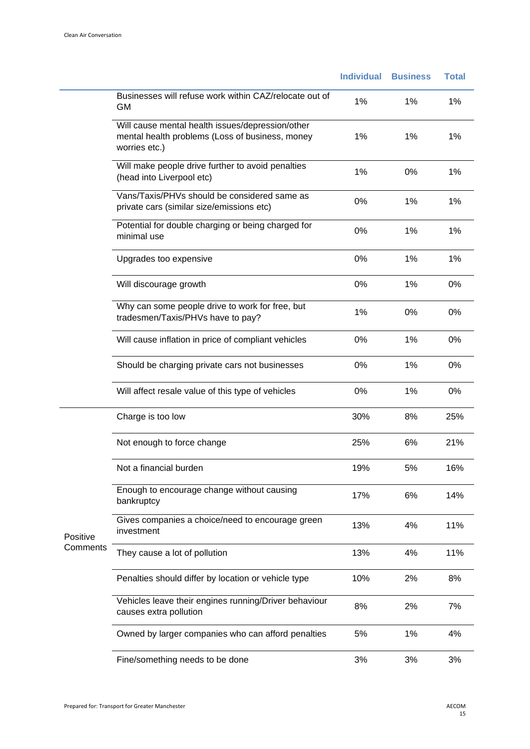|          |                                                                                                                      | <b>Individual</b> | <b>Business</b> | <b>Total</b> |
|----------|----------------------------------------------------------------------------------------------------------------------|-------------------|-----------------|--------------|
|          | Businesses will refuse work within CAZ/relocate out of<br><b>GM</b>                                                  | 1%                | 1%              | 1%           |
|          | Will cause mental health issues/depression/other<br>mental health problems (Loss of business, money<br>worries etc.) | 1%                | 1%              | 1%           |
|          | Will make people drive further to avoid penalties<br>(head into Liverpool etc)                                       | 1%                | 0%              | 1%           |
|          | Vans/Taxis/PHVs should be considered same as<br>private cars (similar size/emissions etc)                            | 0%                | 1%              | 1%           |
|          | Potential for double charging or being charged for<br>minimal use                                                    | 0%                | 1%              | 1%           |
|          | Upgrades too expensive                                                                                               | 0%                | 1%              | 1%           |
|          | Will discourage growth                                                                                               | 0%                | 1%              | 0%           |
|          | Why can some people drive to work for free, but<br>tradesmen/Taxis/PHVs have to pay?                                 | 1%                | 0%              | 0%           |
|          | Will cause inflation in price of compliant vehicles                                                                  | 0%                | 1%              | 0%           |
|          | Should be charging private cars not businesses                                                                       | 0%                | 1%              | 0%           |
|          | Will affect resale value of this type of vehicles                                                                    | 0%                | 1%              | 0%           |
|          | Charge is too low                                                                                                    | 30%               | 8%              | 25%          |
|          | Not enough to force change                                                                                           | 25%               | 6%              | 21%          |
|          | Not a financial burden                                                                                               | 19%               | 5%              | 16%          |
|          | Enough to encourage change without causing<br>bankruptcy                                                             | 17%               | 6%              | 14%          |
| Positive | Gives companies a choice/need to encourage green<br>investment                                                       | 13%               | 4%              | 11%          |
| Comments | They cause a lot of pollution                                                                                        | 13%               | 4%              | 11%          |
|          | Penalties should differ by location or vehicle type                                                                  | 10%               | 2%              | 8%           |
|          | Vehicles leave their engines running/Driver behaviour<br>causes extra pollution                                      | 8%                | 2%              | 7%           |
|          | Owned by larger companies who can afford penalties                                                                   | 5%                | 1%              | 4%           |
|          | Fine/something needs to be done                                                                                      | 3%                | 3%              | 3%           |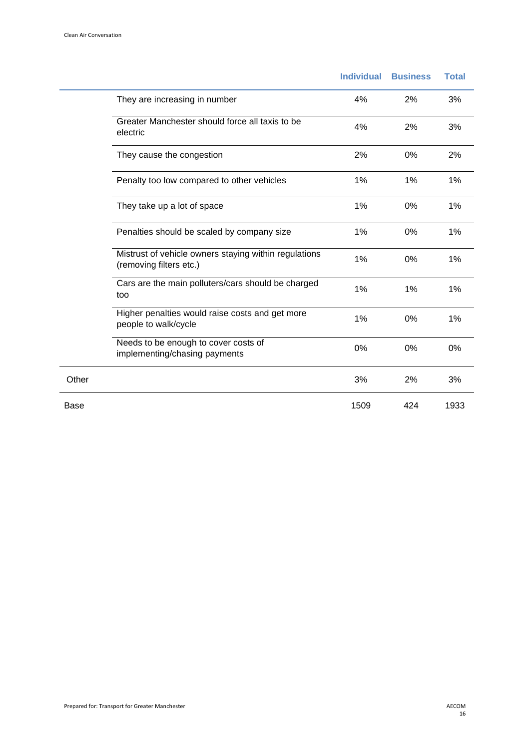|       |                                                                                  | <b>Individual</b> | <b>Business</b> | <b>Total</b> |
|-------|----------------------------------------------------------------------------------|-------------------|-----------------|--------------|
|       | They are increasing in number                                                    | 4%                | 2%              | 3%           |
|       | Greater Manchester should force all taxis to be<br>electric                      | 4%                | 2%              | 3%           |
|       | They cause the congestion                                                        | 2%                | 0%              | 2%           |
|       | Penalty too low compared to other vehicles                                       | 1%                | 1%              | 1%           |
|       | They take up a lot of space                                                      | 1%                | 0%              | 1%           |
|       | Penalties should be scaled by company size                                       | 1%                | 0%              | 1%           |
|       | Mistrust of vehicle owners staying within regulations<br>(removing filters etc.) | 1%                | $0\%$           | 1%           |
|       | Cars are the main polluters/cars should be charged<br>too                        | 1%                | 1%              | 1%           |
|       | Higher penalties would raise costs and get more<br>people to walk/cycle          | 1%                | 0%              | 1%           |
|       | Needs to be enough to cover costs of<br>implementing/chasing payments            | 0%                | 0%              | 0%           |
| Other |                                                                                  | 3%                | 2%              | 3%           |
| Base  |                                                                                  | 1509              | 424             | 1933         |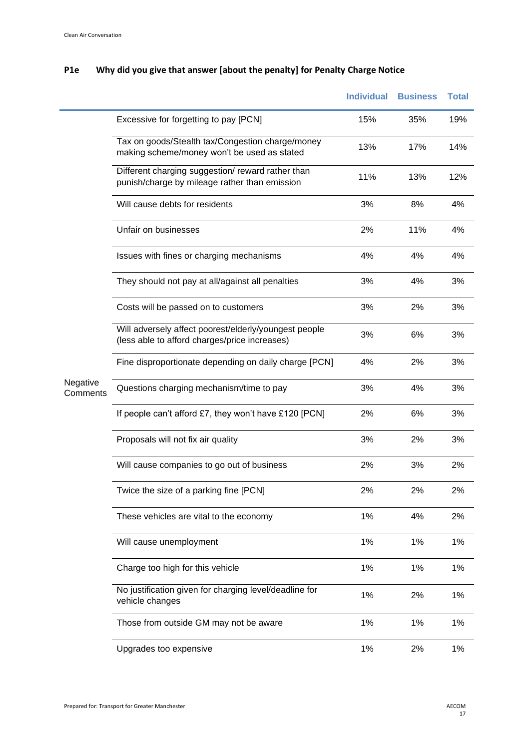# **P1e Why did you give that answer [about the penalty] for Penalty Charge Notice**

|                      |                                                                                                        | <b>Individual</b> | <b>Business</b> | <b>Total</b> |
|----------------------|--------------------------------------------------------------------------------------------------------|-------------------|-----------------|--------------|
|                      | Excessive for forgetting to pay [PCN]                                                                  | 15%               | 35%             | 19%          |
|                      | Tax on goods/Stealth tax/Congestion charge/money<br>making scheme/money won't be used as stated        | 13%               | 17%             | 14%          |
|                      | Different charging suggestion/reward rather than<br>punish/charge by mileage rather than emission      | 11%               | 13%             | 12%          |
|                      | Will cause debts for residents                                                                         | 3%                | 8%              | 4%           |
|                      | Unfair on businesses                                                                                   | 2%                | 11%             | 4%           |
|                      | Issues with fines or charging mechanisms                                                               | 4%                | 4%              | 4%           |
|                      | They should not pay at all/against all penalties                                                       | 3%                | 4%              | 3%           |
|                      | Costs will be passed on to customers                                                                   | 3%                | 2%              | 3%           |
|                      | Will adversely affect poorest/elderly/youngest people<br>(less able to afford charges/price increases) | 3%                | 6%              | 3%           |
|                      | Fine disproportionate depending on daily charge [PCN]                                                  | 4%                | 2%              | 3%           |
| Negative<br>Comments | Questions charging mechanism/time to pay                                                               | 3%                | 4%              | 3%           |
|                      | If people can't afford £7, they won't have £120 [PCN]                                                  | 2%                | 6%              | 3%           |
|                      | Proposals will not fix air quality                                                                     | 3%                | 2%              | 3%           |
|                      | Will cause companies to go out of business                                                             | 2%                | 3%              | 2%           |
|                      | Twice the size of a parking fine [PCN]                                                                 | 2%                | 2%              | 2%           |
|                      | These vehicles are vital to the economy                                                                | 1%                | 4%              | 2%           |
|                      | Will cause unemployment                                                                                | 1%                | 1%              | 1%           |
|                      | Charge too high for this vehicle                                                                       | 1%                | 1%              | 1%           |
|                      | No justification given for charging level/deadline for<br>vehicle changes                              | 1%                | 2%              | 1%           |
|                      | Those from outside GM may not be aware                                                                 | 1%                | 1%              | 1%           |
|                      | Upgrades too expensive                                                                                 | 1%                | 2%              | 1%           |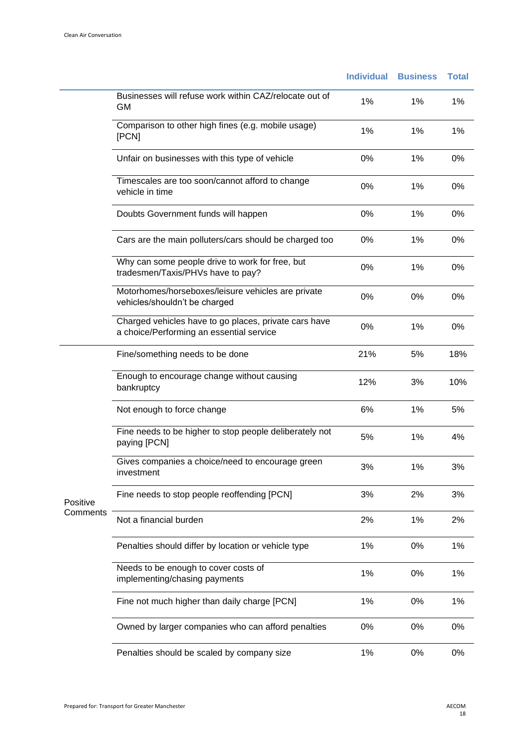|          |                                                                                                   | <b>Individual</b> | <b>Business</b> | <b>Total</b> |
|----------|---------------------------------------------------------------------------------------------------|-------------------|-----------------|--------------|
|          | Businesses will refuse work within CAZ/relocate out of<br>GM                                      | 1%                | 1%              | 1%           |
|          | Comparison to other high fines (e.g. mobile usage)<br>[PCN]                                       | 1%                | 1%              | 1%           |
|          | Unfair on businesses with this type of vehicle                                                    | 0%                | 1%              | 0%           |
|          | Timescales are too soon/cannot afford to change<br>vehicle in time                                | 0%                | 1%              | 0%           |
|          | Doubts Government funds will happen                                                               | 0%                | 1%              | 0%           |
|          | Cars are the main polluters/cars should be charged too                                            | 0%                | 1%              | 0%           |
|          | Why can some people drive to work for free, but<br>tradesmen/Taxis/PHVs have to pay?              | 0%                | 1%              | 0%           |
|          | Motorhomes/horseboxes/leisure vehicles are private<br>vehicles/shouldn't be charged               | 0%                | 0%              | 0%           |
|          | Charged vehicles have to go places, private cars have<br>a choice/Performing an essential service | 0%                | 1%              | 0%           |
|          | Fine/something needs to be done                                                                   | 21%               | 5%              | 18%          |
|          | Enough to encourage change without causing<br>bankruptcy                                          | 12%               | 3%              | 10%          |
|          | Not enough to force change                                                                        | 6%                | 1%              | 5%           |
|          | Fine needs to be higher to stop people deliberately not<br>paying [PCN]                           | 5%                | 1%              | 4%           |
|          | Gives companies a choice/need to encourage green<br>investment                                    | 3%                | 1%              | 3%           |
| Positive | Fine needs to stop people reoffending [PCN]                                                       | 3%                | 2%              | 3%           |
| Comments | Not a financial burden                                                                            | 2%                | 1%              | 2%           |
|          | Penalties should differ by location or vehicle type                                               | 1%                | $0\%$           | 1%           |
|          | Needs to be enough to cover costs of<br>implementing/chasing payments                             | 1%                | 0%              | 1%           |
|          | Fine not much higher than daily charge [PCN]                                                      | 1%                | 0%              | 1%           |
|          | Owned by larger companies who can afford penalties                                                | 0%                | 0%              | 0%           |
|          | Penalties should be scaled by company size                                                        | 1%                | 0%              | 0%           |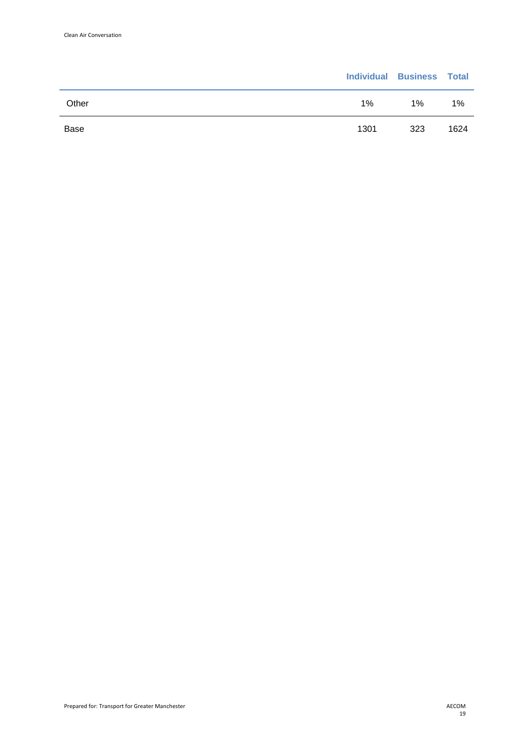|       |       | <b>Individual Business Total</b> |      |
|-------|-------|----------------------------------|------|
| Other | $1\%$ | $1\%$                            | 1%   |
| Base  | 1301  | 323                              | 1624 |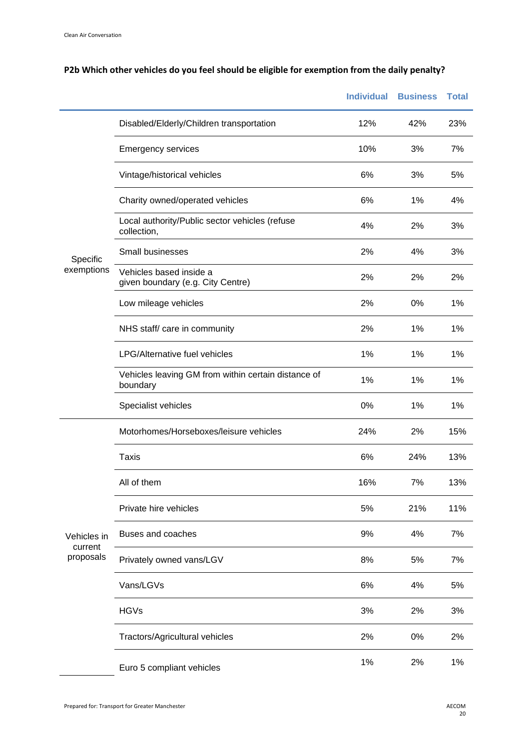# **P2b Which other vehicles do you feel should be eligible for exemption from the daily penalty?**

|                      |                                                                 | <b>Individual</b> | <b>Business</b> | <b>Total</b> |
|----------------------|-----------------------------------------------------------------|-------------------|-----------------|--------------|
|                      | Disabled/Elderly/Children transportation                        | 12%               | 42%             | 23%          |
|                      | <b>Emergency services</b>                                       | 10%               | 3%              | 7%           |
|                      | Vintage/historical vehicles                                     | 6%                | 3%              | 5%           |
|                      | Charity owned/operated vehicles                                 | 6%                | 1%              | 4%           |
| Specific             | Local authority/Public sector vehicles (refuse<br>collection,   | 4%                | 2%              | 3%           |
|                      | Small businesses                                                | 2%                | 4%              | 3%           |
| exemptions           | Vehicles based inside a<br>given boundary (e.g. City Centre)    | 2%                | 2%              | 2%           |
|                      | Low mileage vehicles                                            | 2%                | 0%              | 1%           |
|                      | NHS staff/ care in community                                    | 2%                | 1%              | 1%           |
|                      | <b>LPG/Alternative fuel vehicles</b>                            | 1%                | 1%              | 1%           |
|                      | Vehicles leaving GM from within certain distance of<br>boundary | 1%                | 1%              | 1%           |
|                      | Specialist vehicles                                             | 0%                | 1%              | 1%           |
|                      | Motorhomes/Horseboxes/leisure vehicles                          | 24%               | 2%              | 15%          |
|                      | <b>Taxis</b>                                                    | 6%                | 24%             | 13%          |
|                      | All of them                                                     | 16%               | 7%              | 13%          |
|                      | Private hire vehicles                                           | 5%                | 21%             | 11%          |
| Vehicles in          | Buses and coaches                                               | 9%                | 4%              | 7%           |
| current<br>proposals | Privately owned vans/LGV                                        | 8%                | 5%              | 7%           |
|                      | Vans/LGVs                                                       | 6%                | 4%              | 5%           |
|                      | <b>HGVs</b>                                                     | 3%                | 2%              | 3%           |
|                      | Tractors/Agricultural vehicles                                  | 2%                | 0%              | 2%           |
|                      | Euro 5 compliant vehicles                                       | 1%                | 2%              | 1%           |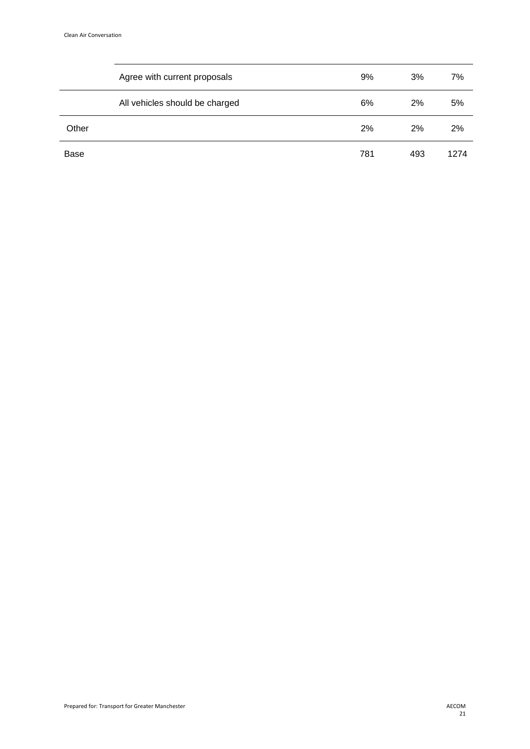|       | Agree with current proposals   | 9%  | 3%  | 7%   |
|-------|--------------------------------|-----|-----|------|
|       | All vehicles should be charged | 6%  | 2%  | 5%   |
| Other |                                | 2%  | 2%  | 2%   |
| Base  |                                | 781 | 493 | 1274 |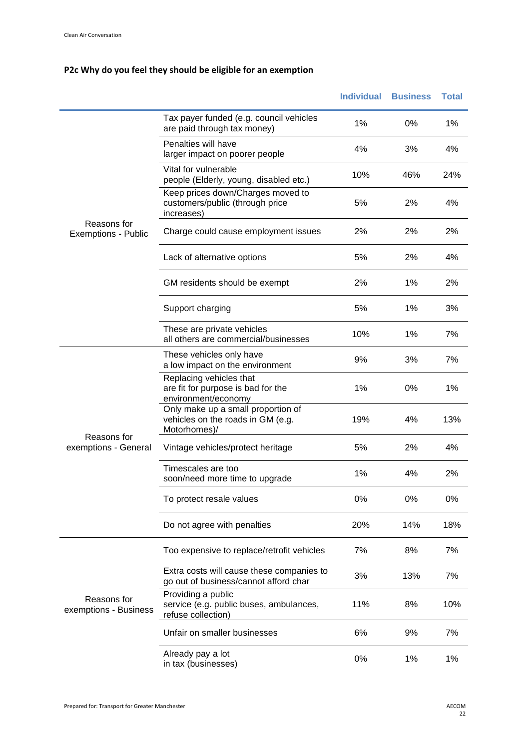# **P2c Why do you feel they should be eligible for an exemption**

|                                      |                                                                                         | <b>Individual</b> | <b>Business</b> | <b>Total</b> |
|--------------------------------------|-----------------------------------------------------------------------------------------|-------------------|-----------------|--------------|
|                                      | Tax payer funded (e.g. council vehicles<br>are paid through tax money)                  | 1%                | 0%              | 1%           |
|                                      | Penalties will have<br>larger impact on poorer people                                   | 4%                | 3%              | 4%           |
|                                      | Vital for vulnerable<br>people (Elderly, young, disabled etc.)                          | 10%               | 46%             | 24%          |
| Reasons for<br>Exemptions - Public   | Keep prices down/Charges moved to<br>customers/public (through price<br>increases)      | 5%                | 2%              | 4%           |
|                                      | Charge could cause employment issues                                                    | 2%                | 2%              | 2%           |
|                                      | Lack of alternative options                                                             | 5%                | 2%              | 4%           |
|                                      | GM residents should be exempt                                                           | 2%                | 1%              | 2%           |
|                                      | Support charging                                                                        | 5%                | 1%              | 3%           |
|                                      | These are private vehicles<br>all others are commercial/businesses                      | 10%               | 1%              | 7%           |
|                                      | These vehicles only have<br>a low impact on the environment                             | 9%                | 3%              | 7%           |
|                                      | Replacing vehicles that<br>are fit for purpose is bad for the<br>environment/economy    | 1%                | 0%              | 1%           |
|                                      | Only make up a small proportion of<br>vehicles on the roads in GM (e.g.<br>Motorhomes)/ | 19%               | 4%              | 13%          |
| Reasons for<br>exemptions - General  | Vintage vehicles/protect heritage                                                       | 5%                | 2%              | 4%           |
|                                      | Timescales are too<br>soon/need more time to upgrade                                    | 1%                | 4%              | 2%           |
|                                      | To protect resale values                                                                | 0%                | 0%              | 0%           |
|                                      | Do not agree with penalties                                                             | 20%               | 14%             | 18%          |
|                                      | Too expensive to replace/retrofit vehicles                                              | 7%                | 8%              | 7%           |
|                                      | Extra costs will cause these companies to<br>go out of business/cannot afford char      | 3%                | 13%             | 7%           |
| Reasons for<br>exemptions - Business | Providing a public<br>service (e.g. public buses, ambulances,<br>refuse collection)     | 11%               | 8%              | 10%          |
|                                      | Unfair on smaller businesses                                                            | 6%                | 9%              | 7%           |
|                                      | Already pay a lot<br>in tax (businesses)                                                | 0%                | 1%              | 1%           |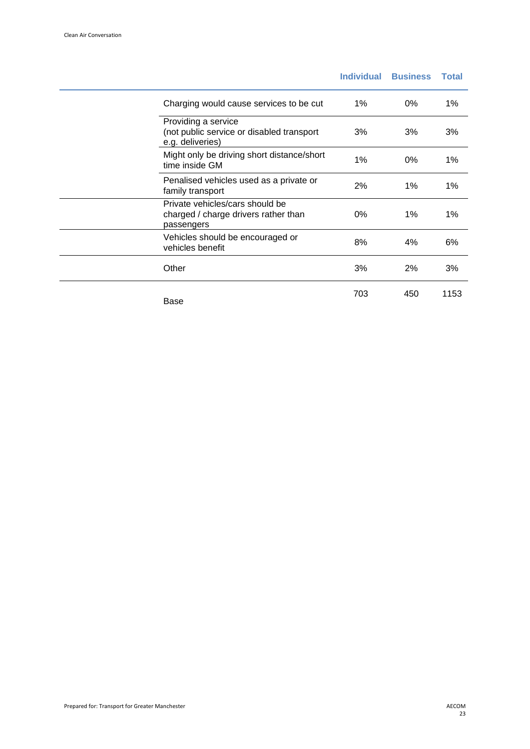|                                                                                       | <b>Individual</b> | <b>Business</b> | <b>Total</b> |
|---------------------------------------------------------------------------------------|-------------------|-----------------|--------------|
| Charging would cause services to be cut                                               | $1\%$             | 0%              | 1%           |
| Providing a service<br>(not public service or disabled transport<br>e.g. deliveries)  | 3%                | 3%              | 3%           |
| Might only be driving short distance/short<br>time inside GM                          | 1%                | 0%              | 1%           |
| Penalised vehicles used as a private or<br>family transport                           | 2%                | 1%              | 1%           |
| Private vehicles/cars should be<br>charged / charge drivers rather than<br>passengers | 0%                | 1%              | 1%           |
| Vehicles should be encouraged or<br>vehicles benefit                                  | 8%                | 4%              | 6%           |
| Other                                                                                 | 3%                | 2%              | 3%           |
| Base                                                                                  | 703               | 450             | 1153         |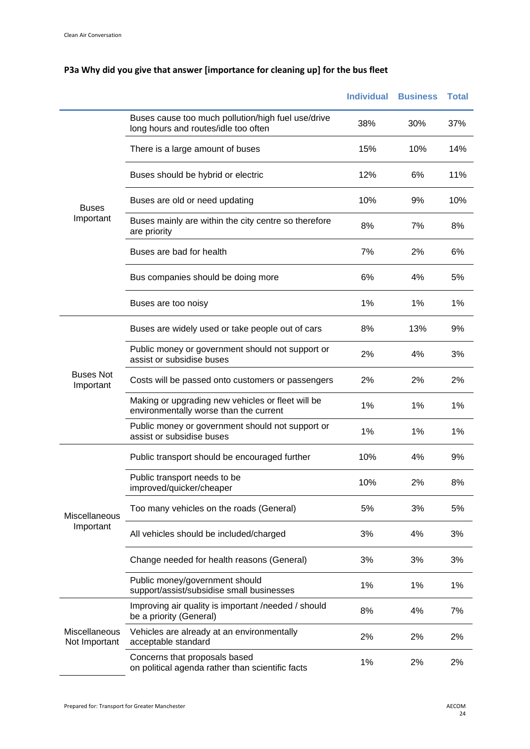|                                |                                                                                             | <b>Individual</b> | <b>Business</b> | <b>Total</b> |
|--------------------------------|---------------------------------------------------------------------------------------------|-------------------|-----------------|--------------|
|                                | Buses cause too much pollution/high fuel use/drive<br>long hours and routes/idle too often  | 38%               | 30%             | 37%          |
| <b>Buses</b><br>Important      | There is a large amount of buses                                                            | 15%               | 10%             | 14%          |
|                                | Buses should be hybrid or electric                                                          | 12%               | 6%              | 11%          |
|                                | Buses are old or need updating                                                              | 10%               | 9%              | 10%          |
|                                | Buses mainly are within the city centre so therefore<br>are priority                        | 8%                | 7%              | 8%           |
|                                | Buses are bad for health                                                                    | 7%                | 2%              | 6%           |
|                                | Bus companies should be doing more                                                          | 6%                | 4%              | 5%           |
|                                | Buses are too noisy                                                                         | 1%                | 1%              | 1%           |
| <b>Buses Not</b><br>Important  | Buses are widely used or take people out of cars                                            | 8%                | 13%             | 9%           |
|                                | Public money or government should not support or<br>assist or subsidise buses               | 2%                | 4%              | 3%           |
|                                | Costs will be passed onto customers or passengers                                           | 2%                | 2%              | 2%           |
|                                | Making or upgrading new vehicles or fleet will be<br>environmentally worse than the current | 1%                | 1%              | 1%           |
|                                | Public money or government should not support or<br>assist or subsidise buses               | 1%                | 1%              | 1%           |
|                                | Public transport should be encouraged further                                               | 10%               | 4%              | 9%           |
|                                | Public transport needs to be<br>improved/quicker/cheaper                                    | 10%               | 2%              | 8%           |
| Miscellaneous                  | Too many vehicles on the roads (General)                                                    | 5%                | 3%              | 5%           |
| Important                      | All vehicles should be included/charged                                                     | 3%                | 4%              | 3%           |
|                                | Change needed for health reasons (General)                                                  | 3%                | 3%              | 3%           |
|                                | Public money/government should<br>support/assist/subsidise small businesses                 | 1%                | 1%              | 1%           |
|                                | Improving air quality is important /needed / should<br>be a priority (General)              | 8%                | 4%              | 7%           |
| Miscellaneous<br>Not Important | Vehicles are already at an environmentally<br>acceptable standard                           | 2%                | 2%              | 2%           |
|                                | Concerns that proposals based<br>on political agenda rather than scientific facts           | 1%                | 2%              | 2%           |

# **P3a Why did you give that answer [importance for cleaning up] for the bus fleet**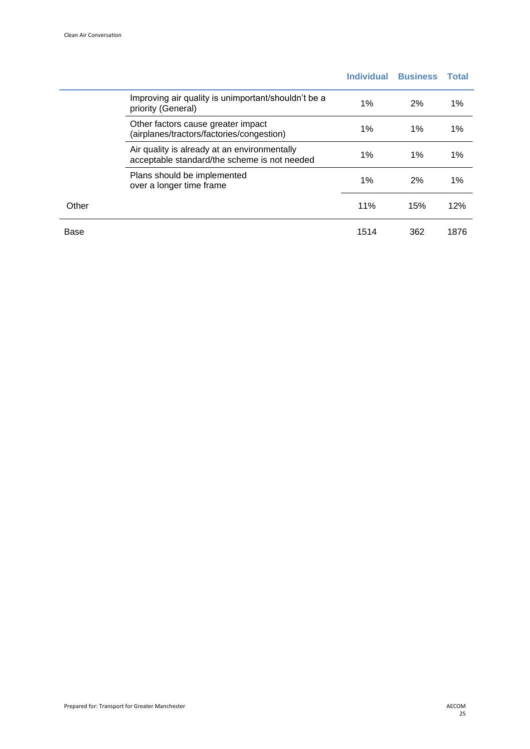|       |                                                                                              | <b>Individual</b> | <b>Business</b> | <b>Total</b> |
|-------|----------------------------------------------------------------------------------------------|-------------------|-----------------|--------------|
|       | Improving air quality is unimportant/shouldn't be a<br>priority (General)                    | 1%                | 2%              | 1%           |
|       | Other factors cause greater impact<br>(airplanes/tractors/factories/congestion)              | 1%                | $1\%$           | 1%           |
|       | Air quality is already at an environmentally<br>acceptable standard/the scheme is not needed | 1%                | 1%              | 1%           |
|       | Plans should be implemented<br>over a longer time frame                                      | 1%                | 2%              | 1%           |
| Other |                                                                                              | 11%               | 15%             | 12%          |
| Base  |                                                                                              | 1514              | 362             | 1876         |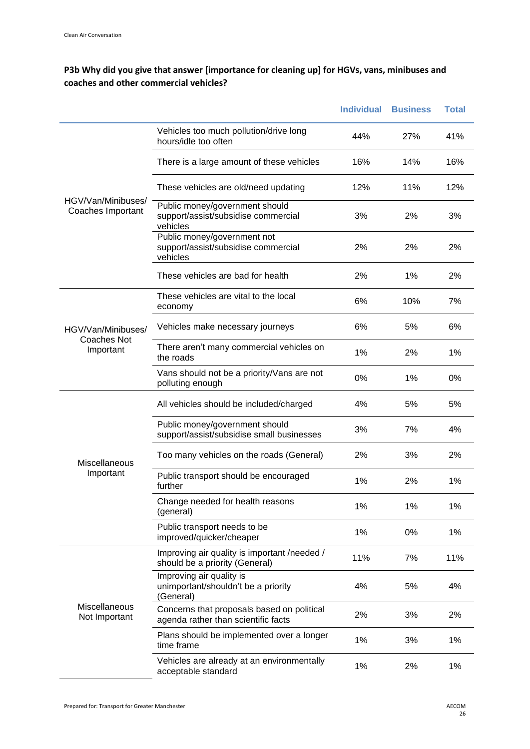#### **P3b Why did you give that answer [importance for cleaning up] for HGVs, vans, minibuses and coaches and other commercial vehicles?**

|                                                                                                                                          |                                                                                   | <b>Individual</b> | <b>Business</b> | <b>Total</b> |
|------------------------------------------------------------------------------------------------------------------------------------------|-----------------------------------------------------------------------------------|-------------------|-----------------|--------------|
|                                                                                                                                          | Vehicles too much pollution/drive long<br>hours/idle too often                    | 44%               | 27%             | 41%          |
|                                                                                                                                          | There is a large amount of these vehicles                                         | 16%               | 14%             | 16%          |
| HGV/Van/Minibuses/<br>Coaches Important<br>HGV/Van/Minibuses/<br>Coaches Not<br>Important<br>Miscellaneous<br>Important<br>Miscellaneous | These vehicles are old/need updating                                              | 12%               | 11%             | 12%          |
|                                                                                                                                          | Public money/government should<br>support/assist/subsidise commercial<br>vehicles | 3%                | 2%              | 3%           |
|                                                                                                                                          | Public money/government not<br>support/assist/subsidise commercial<br>vehicles    | 2%                | 2%              | 2%           |
|                                                                                                                                          | These vehicles are bad for health                                                 | 2%                | 1%              | 2%           |
|                                                                                                                                          | These vehicles are vital to the local<br>economy                                  | 6%                | 10%             | 7%           |
|                                                                                                                                          | Vehicles make necessary journeys                                                  | 6%                | 5%              | 6%           |
|                                                                                                                                          | There aren't many commercial vehicles on<br>the roads                             | 1%                | 2%              | 1%           |
|                                                                                                                                          | Vans should not be a priority/Vans are not<br>polluting enough                    | 0%                | 1%              | 0%           |
|                                                                                                                                          | All vehicles should be included/charged                                           | 4%                | 5%              | 5%           |
|                                                                                                                                          | Public money/government should<br>support/assist/subsidise small businesses       | 3%                | 7%              | 4%           |
|                                                                                                                                          | Too many vehicles on the roads (General)                                          | 2%                | 3%              | 2%           |
|                                                                                                                                          | Public transport should be encouraged<br>further                                  | 1%                | 2%              | 1%           |
|                                                                                                                                          | Change needed for health reasons<br>(general)                                     | 1%                | 1%              | 1%           |
|                                                                                                                                          | Public transport needs to be<br>improved/quicker/cheaper                          | 1%                | 0%              | 1%           |
|                                                                                                                                          | Improving air quality is important /needed /<br>should be a priority (General)    | 11%               | 7%              | 11%          |
|                                                                                                                                          | Improving air quality is<br>unimportant/shouldn't be a priority<br>(General)      | 4%                | 5%              | 4%           |
| Not Important                                                                                                                            | Concerns that proposals based on political<br>agenda rather than scientific facts | 2%                | 3%              | 2%           |
|                                                                                                                                          | Plans should be implemented over a longer<br>time frame                           | 1%                | 3%              | 1%           |
|                                                                                                                                          | Vehicles are already at an environmentally<br>acceptable standard                 | 1%                | 2%              | 1%           |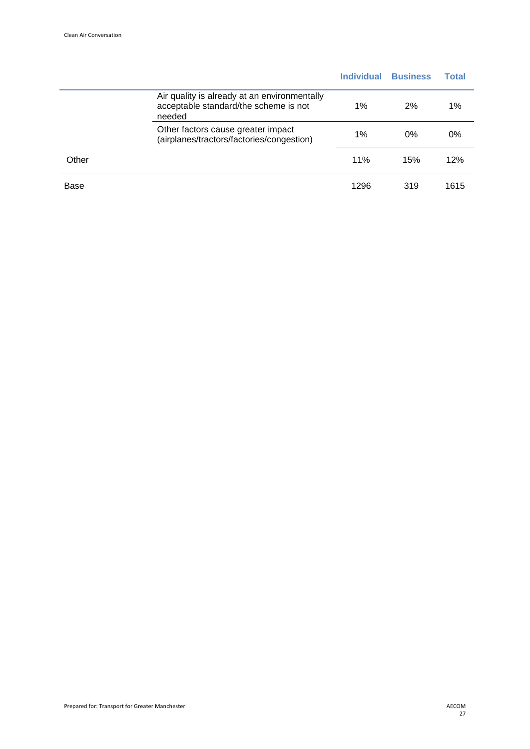|       |                                                                                                 | <b>Individual</b> | <b>Business</b> | Total |
|-------|-------------------------------------------------------------------------------------------------|-------------------|-----------------|-------|
|       | Air quality is already at an environmentally<br>acceptable standard/the scheme is not<br>needed | $1\%$             | 2%              | 1%    |
|       | Other factors cause greater impact<br>(airplanes/tractors/factories/congestion)                 | $1\%$             | $0\%$           | 0%    |
| Other |                                                                                                 | 11%               | 15%             | 12%   |
| Base  |                                                                                                 | 1296              | 319             | 1615  |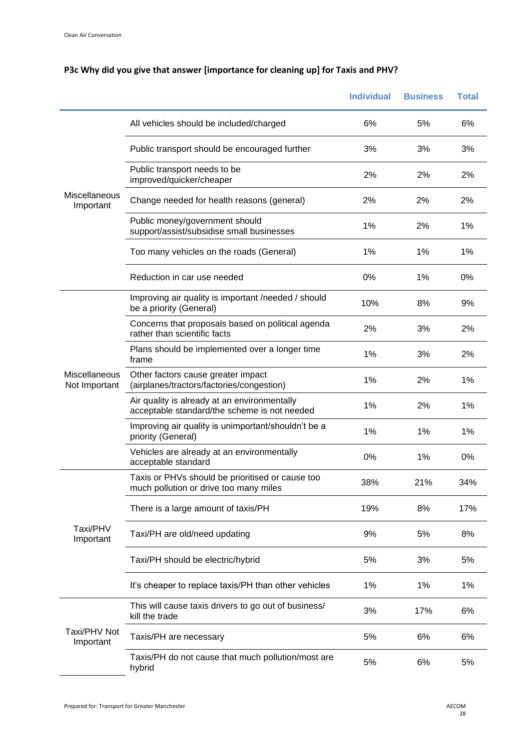|                                |                                                                                              | <b>Individual</b> | <b>Business</b> | <b>Total</b> |
|--------------------------------|----------------------------------------------------------------------------------------------|-------------------|-----------------|--------------|
|                                | All vehicles should be included/charged                                                      | 6%                | 5%              | 6%           |
|                                | Public transport should be encouraged further                                                | 3%                | 3%              | 3%           |
|                                | Public transport needs to be<br>improved/quicker/cheaper                                     | 2%                | 2%              | 2%           |
| Miscellaneous<br>Important     | Change needed for health reasons (general)                                                   | 2%                | 2%              | 2%           |
|                                | Public money/government should<br>support/assist/subsidise small businesses                  | 1%                | 2%              | 1%           |
|                                | Too many vehicles on the roads (General)                                                     | 1%                | 1%              | 1%           |
|                                | Reduction in car use needed                                                                  | 0%                | 1%              | 0%           |
|                                | Improving air quality is important /needed / should<br>be a priority (General)               | 10%               | 8%              | 9%           |
| Miscellaneous<br>Not Important | Concerns that proposals based on political agenda<br>rather than scientific facts            | 2%                | 3%              | 2%           |
|                                | Plans should be implemented over a longer time<br>frame                                      | 1%                | 3%              | 2%           |
|                                | Other factors cause greater impact<br>(airplanes/tractors/factories/congestion)              | 1%                | 2%              | 1%           |
|                                | Air quality is already at an environmentally<br>acceptable standard/the scheme is not needed | 1%                | 2%              | 1%           |
|                                | Improving air quality is unimportant/shouldn't be a<br>priority (General)                    | 1%                | 1%              | 1%           |
|                                | Vehicles are already at an environmentally<br>acceptable standard                            | 0%                | 1%              | 0%           |
|                                | Taxis or PHVs should be prioritised or cause too<br>much pollution or drive too many miles   | 38%               | 21%             | 34%          |
|                                | There is a large amount of taxis/PH                                                          | 19%               | 8%              | 17%          |
| Taxi/PHV<br>Important          | Taxi/PH are old/need updating                                                                | 9%                | 5%              | 8%           |
|                                | Taxi/PH should be electric/hybrid                                                            | 5%                | 3%              | 5%           |
|                                | It's cheaper to replace taxis/PH than other vehicles                                         | 1%                | 1%              | 1%           |
|                                | This will cause taxis drivers to go out of business/<br>kill the trade                       | 3%                | 17%             | 6%           |
| Taxi/PHV Not<br>Important      | Taxis/PH are necessary                                                                       | 5%                | 6%              | 6%           |
|                                | Taxis/PH do not cause that much pollution/most are<br>hybrid                                 | 5%                | 6%              | 5%           |

# **P3c Why did you give that answer [importance for cleaning up] for Taxis and PHV?**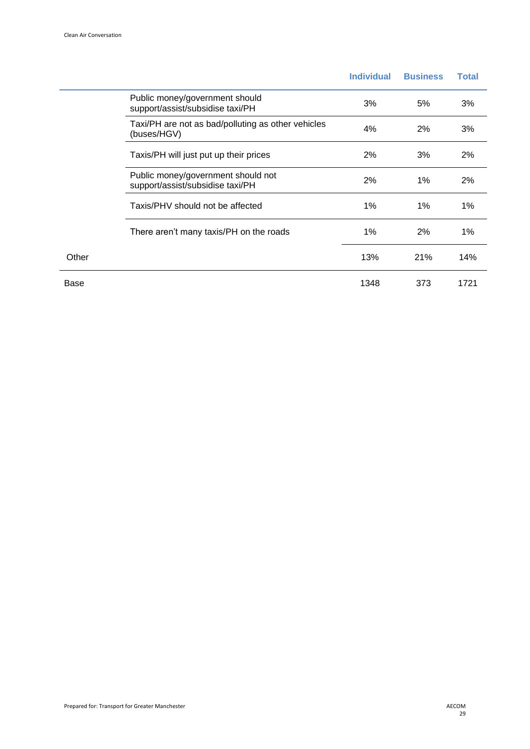|       |                                                                        | <b>Individual</b> | <b>Business</b> | <b>Total</b> |
|-------|------------------------------------------------------------------------|-------------------|-----------------|--------------|
|       | Public money/government should<br>support/assist/subsidise taxi/PH     | 3%                | 5%              | 3%           |
|       | Taxi/PH are not as bad/polluting as other vehicles<br>(buses/HGV)      | 4%                | 2%              | 3%           |
|       | Taxis/PH will just put up their prices                                 | 2%                | 3%              | 2%           |
|       | Public money/government should not<br>support/assist/subsidise taxi/PH | 2%                | 1%              | 2%           |
|       | Taxis/PHV should not be affected                                       | 1%                | $1\%$           | $1\%$        |
|       | There aren't many taxis/PH on the roads                                | $1\%$             | 2%              | $1\%$        |
| Other |                                                                        | 13%               | 21%             | 14%          |
| Base  |                                                                        | 1348              | 373             | 1721         |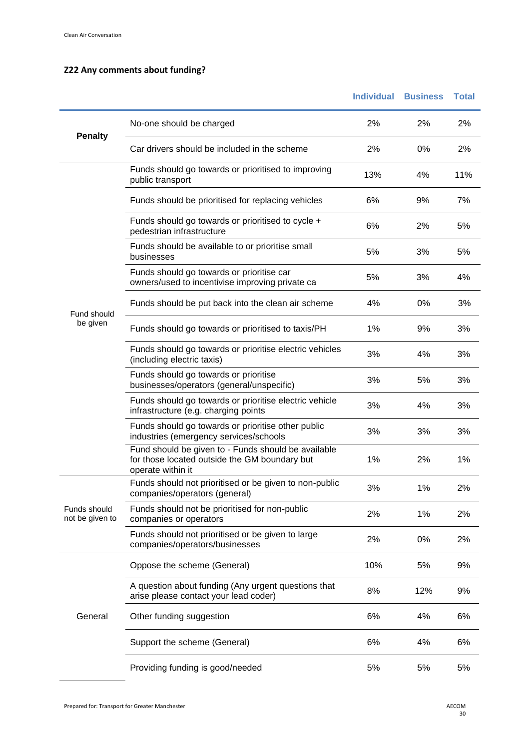### **Z22 Any comments about funding?**

|                                 |                                                                                                                           | <b>Individual</b> | <b>Business</b> | <b>Total</b> |
|---------------------------------|---------------------------------------------------------------------------------------------------------------------------|-------------------|-----------------|--------------|
|                                 | No-one should be charged                                                                                                  | 2%                | 2%              | 2%           |
| <b>Penalty</b>                  | Car drivers should be included in the scheme                                                                              | 2%                | 0%              | 2%           |
|                                 | Funds should go towards or prioritised to improving<br>public transport                                                   | 13%               | 4%              | 11%          |
| Fund should<br>be given         | Funds should be prioritised for replacing vehicles                                                                        | 6%                | 9%              | 7%           |
|                                 | Funds should go towards or prioritised to cycle +<br>pedestrian infrastructure                                            | 6%                | 2%              | 5%           |
|                                 | Funds should be available to or prioritise small<br>businesses                                                            | 5%                | 3%              | 5%           |
|                                 | Funds should go towards or prioritise car<br>owners/used to incentivise improving private ca                              | 5%                | 3%              | 4%           |
|                                 | Funds should be put back into the clean air scheme                                                                        | 4%                | 0%              | 3%           |
|                                 | Funds should go towards or prioritised to taxis/PH                                                                        | 1%                | 9%              | 3%           |
|                                 | Funds should go towards or prioritise electric vehicles<br>(including electric taxis)                                     | 3%                | 4%              | 3%           |
|                                 | Funds should go towards or prioritise<br>businesses/operators (general/unspecific)                                        | 3%                | 5%              | 3%           |
|                                 | Funds should go towards or prioritise electric vehicle<br>infrastructure (e.g. charging points                            | 3%                | 4%              | 3%           |
|                                 | Funds should go towards or prioritise other public<br>industries (emergency services/schools                              | 3%                | 3%              | 3%           |
|                                 | Fund should be given to - Funds should be available<br>for those located outside the GM boundary but<br>operate within it | 1%                | 2%              | 1%           |
|                                 | Funds should not prioritised or be given to non-public<br>companies/operators (general)                                   | 3%                | 1%              | 2%           |
| Funds should<br>not be given to | Funds should not be prioritised for non-public<br>companies or operators                                                  | 2%                | 1%              | 2%           |
|                                 | Funds should not prioritised or be given to large<br>companies/operators/businesses                                       | 2%                | 0%              | 2%           |
|                                 | Oppose the scheme (General)                                                                                               | 10%               | 5%              | 9%           |
|                                 | A question about funding (Any urgent questions that<br>arise please contact your lead coder)                              | 8%                | 12%             | 9%           |
| General                         | Other funding suggestion                                                                                                  | 6%                | 4%              | 6%           |
|                                 | Support the scheme (General)                                                                                              | 6%                | 4%              | 6%           |
|                                 | Providing funding is good/needed                                                                                          | 5%                | 5%              | 5%           |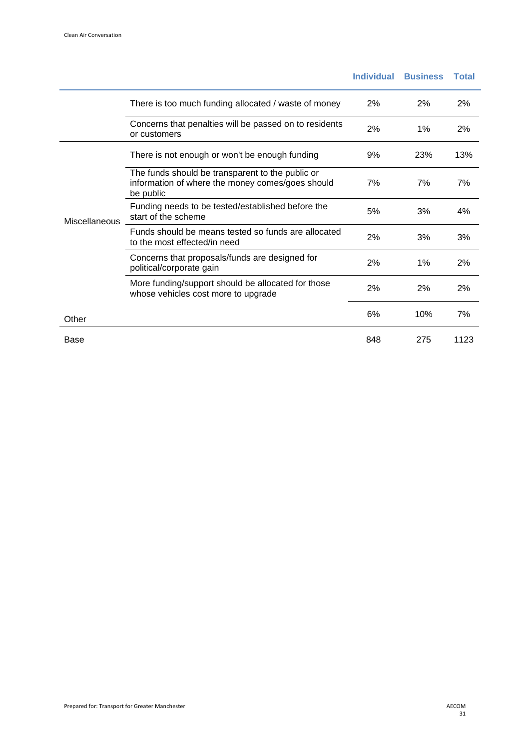|               |                                                                                                                   | <b>Individual</b> | <b>Business</b> | Total |
|---------------|-------------------------------------------------------------------------------------------------------------------|-------------------|-----------------|-------|
|               | There is too much funding allocated / waste of money                                                              | 2%                | 2%              | 2%    |
|               | Concerns that penalties will be passed on to residents<br>or customers                                            | 2%                | 1%              | 2%    |
| Miscellaneous | There is not enough or won't be enough funding                                                                    | 9%                | 23%             | 13%   |
|               | The funds should be transparent to the public or<br>information of where the money comes/goes should<br>be public | 7%                | 7%              | 7%    |
|               | Funding needs to be tested/established before the<br>start of the scheme                                          | 5%                | 3%              | 4%    |
|               | Funds should be means tested so funds are allocated<br>to the most effected/in need                               | 2%                | 3%              | 3%    |
|               | Concerns that proposals/funds are designed for<br>political/corporate gain                                        | 2%                | 1%              | 2%    |
|               | More funding/support should be allocated for those<br>whose vehicles cost more to upgrade                         | 2%                | 2%              | 2%    |
| Other         |                                                                                                                   | 6%                | 10%             | 7%    |
| Base          |                                                                                                                   | 848               | 275             | 1123  |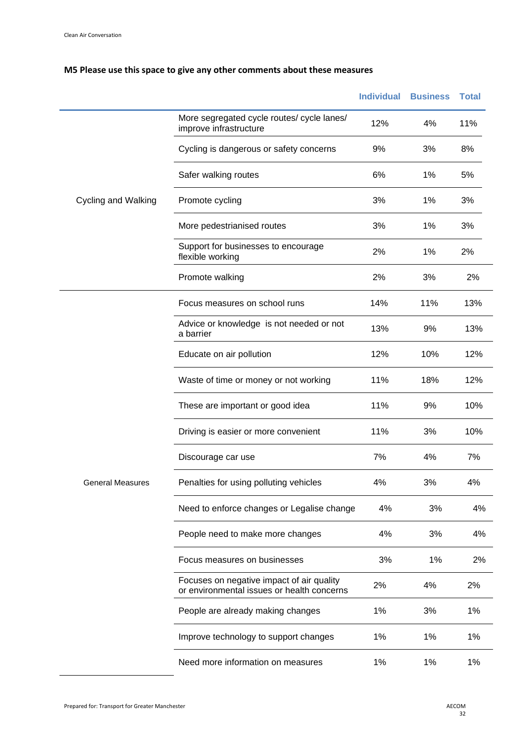### **M5 Please use this space to give any other comments about these measures**

|                            |                                                                                         | <b>Individual</b> | <b>Business</b> | <b>Total</b> |
|----------------------------|-----------------------------------------------------------------------------------------|-------------------|-----------------|--------------|
|                            | More segregated cycle routes/ cycle lanes/<br>improve infrastructure                    | 12%               | 4%              | 11%          |
|                            | Cycling is dangerous or safety concerns                                                 | 9%                | 3%              | 8%           |
|                            | Safer walking routes                                                                    | 6%                | 1%              | 5%           |
| <b>Cycling and Walking</b> | Promote cycling                                                                         | 3%                | 1%              | 3%           |
|                            | More pedestrianised routes                                                              | 3%                | 1%              | 3%           |
|                            | Support for businesses to encourage<br>flexible working                                 | 2%                | 1%              | 2%           |
|                            | Promote walking                                                                         | 2%                | 3%              | 2%           |
|                            | Focus measures on school runs                                                           | 14%               | 11%             | 13%          |
|                            | Advice or knowledge is not needed or not<br>a barrier                                   | 13%               | 9%              | 13%          |
|                            | Educate on air pollution                                                                | 12%               | 10%             | 12%          |
|                            | Waste of time or money or not working                                                   | 11%               | 18%             | 12%          |
|                            | These are important or good idea                                                        | 11%               | 9%              | 10%          |
|                            | Driving is easier or more convenient                                                    | 11%               | 3%              | 10%          |
|                            | Discourage car use                                                                      | 7%                | 4%              | 7%           |
| <b>General Measures</b>    | Penalties for using polluting vehicles                                                  | 4%                | 3%              | 4%           |
|                            | Need to enforce changes or Legalise change                                              | 4%                | 3%              | 4%           |
|                            | People need to make more changes                                                        | 4%                | 3%              | 4%           |
|                            | Focus measures on businesses                                                            | 3%                | 1%              | 2%           |
|                            | Focuses on negative impact of air quality<br>or environmental issues or health concerns | 2%                | 4%              | 2%           |
|                            | People are already making changes                                                       | 1%                | 3%              | 1%           |
|                            | Improve technology to support changes                                                   | 1%                | 1%              | 1%           |
|                            | Need more information on measures                                                       | 1%                | 1%              | 1%           |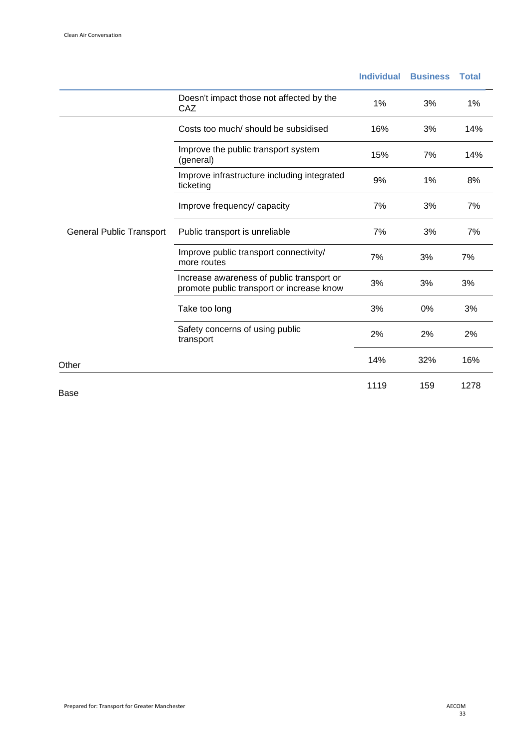|                                 |                                                                                        | <b>Individual</b> | <b>Business</b> | <b>Total</b> |
|---------------------------------|----------------------------------------------------------------------------------------|-------------------|-----------------|--------------|
|                                 | Doesn't impact those not affected by the<br>CAZ                                        | 1%                | 3%              | 1%           |
|                                 | Costs too much/should be subsidised                                                    | 16%               | 3%              | 14%          |
|                                 | Improve the public transport system<br>(general)                                       | 15%               | 7%              | 14%          |
|                                 | Improve infrastructure including integrated<br>ticketing                               | 9%                | 1%              | 8%           |
|                                 | Improve frequency/ capacity                                                            | 7%                | 3%              | 7%           |
| <b>General Public Transport</b> | Public transport is unreliable                                                         | 7%                | 3%              | 7%           |
|                                 | Improve public transport connectivity/<br>more routes                                  | 7%                | 3%              | 7%           |
|                                 | Increase awareness of public transport or<br>promote public transport or increase know | 3%                | 3%              | 3%           |
|                                 | Take too long                                                                          | 3%                | 0%              | 3%           |
|                                 | Safety concerns of using public<br>transport                                           | 2%                | 2%              | 2%           |
| Other                           |                                                                                        | 14%               | 32%             | 16%          |
| Base                            |                                                                                        | 1119              | 159             | 1278         |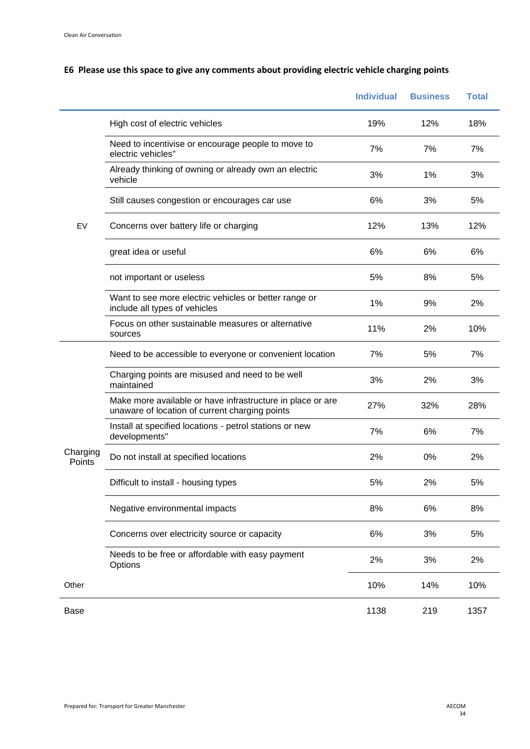### **E6 Please use this space to give any comments about providing electric vehicle charging points**

|                    |                                                                                                              | <b>Individual</b> | <b>Business</b> | <b>Total</b> |
|--------------------|--------------------------------------------------------------------------------------------------------------|-------------------|-----------------|--------------|
|                    | High cost of electric vehicles                                                                               | 19%               | 12%             | 18%          |
|                    | Need to incentivise or encourage people to move to<br>electric vehicles"                                     | 7%                | 7%              | 7%           |
|                    | Already thinking of owning or already own an electric<br>vehicle                                             | 3%                | 1%              | 3%           |
|                    | Still causes congestion or encourages car use                                                                | 6%                | 3%              | 5%           |
| EV                 | Concerns over battery life or charging                                                                       | 12%               | 13%             | 12%          |
|                    | great idea or useful                                                                                         | 6%                | 6%              | 6%           |
|                    | not important or useless                                                                                     | 5%                | 8%              | 5%           |
|                    | Want to see more electric vehicles or better range or<br>include all types of vehicles                       | 1%                | 9%              | 2%           |
|                    | Focus on other sustainable measures or alternative<br>sources                                                | 11%               | 2%              | 10%          |
|                    | Need to be accessible to everyone or convenient location                                                     | 7%                | 5%              | 7%           |
|                    | Charging points are misused and need to be well<br>maintained                                                | 3%                | 2%              | 3%           |
|                    | Make more available or have infrastructure in place or are<br>unaware of location of current charging points | 27%               | 32%             | 28%          |
|                    | Install at specified locations - petrol stations or new<br>developments"                                     | 7%                | 6%              | 7%           |
| Charging<br>Points | Do not install at specified locations                                                                        | 2%                | 0%              | 2%           |
|                    | Difficult to install - housing types                                                                         | 5%                | 2%              | 5%           |
|                    | Negative environmental impacts                                                                               | 8%                | 6%              | 8%           |
|                    | Concerns over electricity source or capacity                                                                 | 6%                | 3%              | 5%           |
|                    | Needs to be free or affordable with easy payment<br>Options                                                  | 2%                | 3%              | 2%           |
| Other              |                                                                                                              | 10%               | 14%             | 10%          |
| Base               |                                                                                                              | 1138              | 219             | 1357         |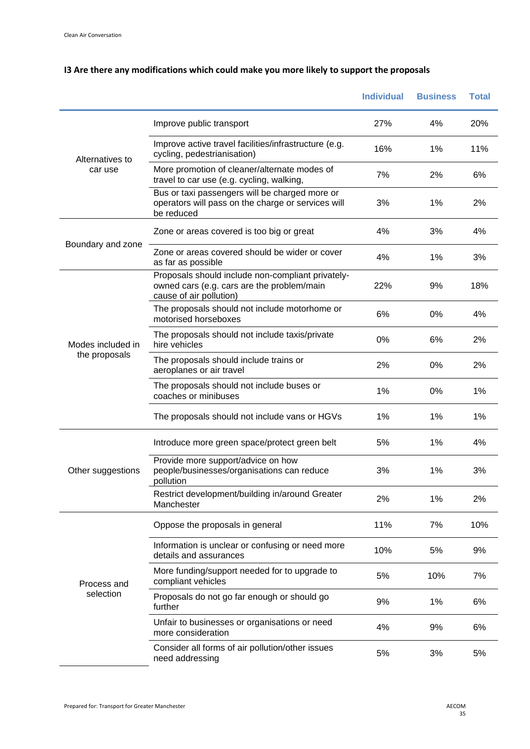|                                                                                                            |                                                                                                                            | <b>Individual</b> | <b>Business</b> | <b>Total</b> |
|------------------------------------------------------------------------------------------------------------|----------------------------------------------------------------------------------------------------------------------------|-------------------|-----------------|--------------|
|                                                                                                            | Improve public transport                                                                                                   | 27%               | 4%              | 20%          |
| Alternatives to<br>car use<br>Boundary and zone<br>Modes included in<br>the proposals<br>Other suggestions | Improve active travel facilities/infrastructure (e.g.<br>cycling, pedestrianisation)                                       | 16%               | 1%              | 11%          |
|                                                                                                            | More promotion of cleaner/alternate modes of<br>travel to car use (e.g. cycling, walking,                                  | 7%                | 2%              | 6%           |
|                                                                                                            | Bus or taxi passengers will be charged more or<br>operators will pass on the charge or services will<br>be reduced         | 3%                | 1%              | 2%           |
|                                                                                                            | Zone or areas covered is too big or great                                                                                  | 4%                | 3%              | 4%           |
|                                                                                                            | Zone or areas covered should be wider or cover<br>as far as possible                                                       | 4%                | 1%              | 3%           |
|                                                                                                            | Proposals should include non-compliant privately-<br>owned cars (e.g. cars are the problem/main<br>cause of air pollution) | 22%               | 9%              | 18%          |
|                                                                                                            | The proposals should not include motorhome or<br>motorised horseboxes                                                      | 6%                | 0%              | 4%           |
|                                                                                                            | The proposals should not include taxis/private<br>hire vehicles                                                            | 0%                | 6%              | 2%           |
|                                                                                                            | The proposals should include trains or<br>aeroplanes or air travel                                                         | 2%                | 0%              | 2%           |
|                                                                                                            | The proposals should not include buses or<br>coaches or minibuses                                                          | 1%                | 0%              | 1%           |
|                                                                                                            | The proposals should not include vans or HGVs                                                                              | 1%                | 1%              | 1%           |
|                                                                                                            | Introduce more green space/protect green belt                                                                              | 5%                | 1%              | 4%           |
|                                                                                                            | Provide more support/advice on how<br>people/businesses/organisations can reduce<br>pollution                              | 3%                | 1%              | 3%           |
|                                                                                                            | Restrict development/building in/around Greater<br>Manchester                                                              | 2%                | 1%              | 2%           |
|                                                                                                            | Oppose the proposals in general                                                                                            | 11%               | 7%              | 10%          |
| Process and<br>selection                                                                                   | Information is unclear or confusing or need more<br>details and assurances                                                 | 10%               | 5%              | 9%           |
|                                                                                                            | More funding/support needed for to upgrade to<br>compliant vehicles                                                        | 5%                | 10%             | 7%           |
|                                                                                                            | Proposals do not go far enough or should go<br>further                                                                     | 9%                | 1%              | 6%           |
|                                                                                                            | Unfair to businesses or organisations or need<br>more consideration                                                        | 4%                | 9%              | 6%           |
|                                                                                                            | Consider all forms of air pollution/other issues<br>need addressing                                                        | 5%                | 3%              | 5%           |

### **I3 Are there any modifications which could make you more likely to support the proposals**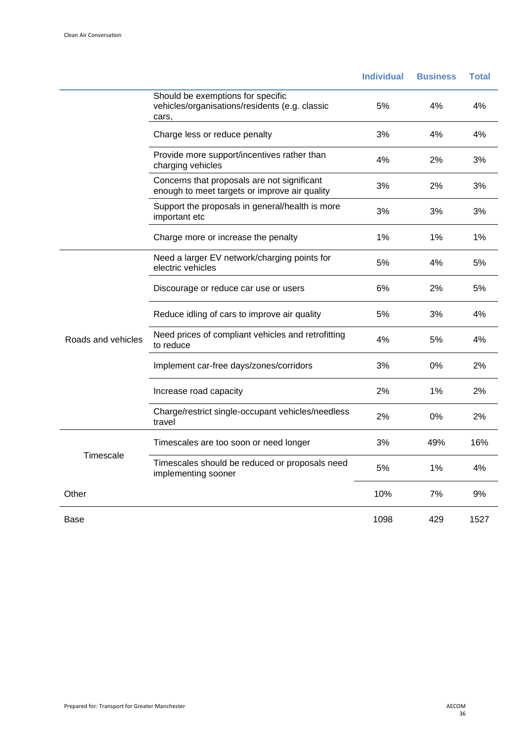|                    |                                                                                              | <b>Individual</b> | <b>Business</b> | <b>Total</b> |
|--------------------|----------------------------------------------------------------------------------------------|-------------------|-----------------|--------------|
|                    | Should be exemptions for specific<br>vehicles/organisations/residents (e.g. classic<br>cars, | 5%                | 4%              | 4%           |
|                    | Charge less or reduce penalty                                                                | 3%                | 4%              | 4%           |
|                    | Provide more support/incentives rather than<br>charging vehicles                             | 4%                | 2%              | 3%           |
|                    | Concerns that proposals are not significant<br>enough to meet targets or improve air quality | 3%                | 2%              | 3%           |
|                    | Support the proposals in general/health is more<br>important etc                             | 3%                | 3%              | 3%           |
|                    | Charge more or increase the penalty                                                          | 1%                | 1%              | 1%           |
|                    | Need a larger EV network/charging points for<br>electric vehicles                            | 5%                | 4%              | 5%           |
|                    | Discourage or reduce car use or users                                                        | 6%                | 2%              | 5%           |
|                    | Reduce idling of cars to improve air quality                                                 | 5%                | 3%              | 4%           |
| Roads and vehicles | Need prices of compliant vehicles and retrofitting<br>to reduce                              | 4%                | 5%              | 4%           |
|                    | Implement car-free days/zones/corridors                                                      | 3%                | 0%              | 2%           |
|                    | Increase road capacity                                                                       | 2%                | 1%              | 2%           |
|                    | Charge/restrict single-occupant vehicles/needless<br>travel                                  | 2%                | 0%              | 2%           |
|                    | Timescales are too soon or need longer                                                       | 3%                | 49%             | 16%          |
| Timescale          | Timescales should be reduced or proposals need<br>implementing sooner                        | 5%                | 1%              | 4%           |
| Other              |                                                                                              | 10%               | 7%              | 9%           |
| Base               |                                                                                              | 1098              | 429             | 1527         |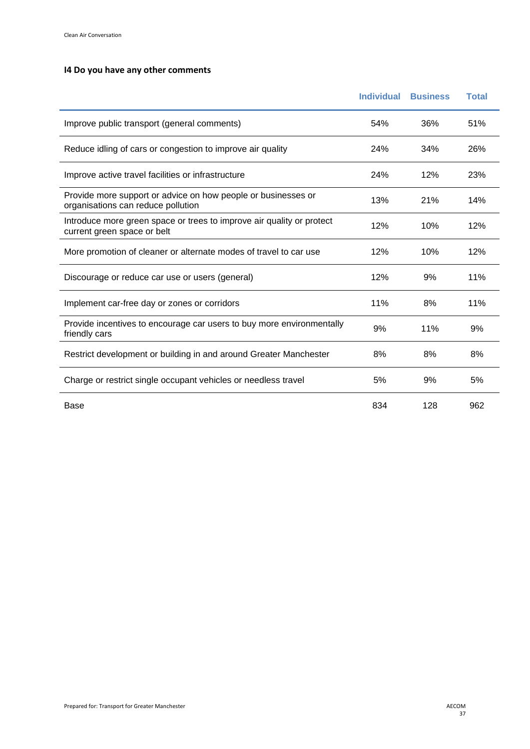#### **I4 Do you have any other comments**

|                                                                                                      | <b>Individual</b> | <b>Business</b> | <b>Total</b> |
|------------------------------------------------------------------------------------------------------|-------------------|-----------------|--------------|
| Improve public transport (general comments)                                                          | 54%               | 36%             | 51%          |
| Reduce idling of cars or congestion to improve air quality                                           | 24%               | 34%             | 26%          |
| Improve active travel facilities or infrastructure                                                   | 24%               | 12%             | 23%          |
| Provide more support or advice on how people or businesses or<br>organisations can reduce pollution  | 13%               | 21%             | 14%          |
| Introduce more green space or trees to improve air quality or protect<br>current green space or belt | 12%               | 10%             | 12%          |
| More promotion of cleaner or alternate modes of travel to car use                                    | 12%               | 10%             | 12%          |
| Discourage or reduce car use or users (general)                                                      | 12%               | 9%              | 11%          |
| Implement car-free day or zones or corridors                                                         | 11%               | 8%              | 11%          |
| Provide incentives to encourage car users to buy more environmentally<br>friendly cars               | 9%                | 11%             | 9%           |
| Restrict development or building in and around Greater Manchester                                    | 8%                | 8%              | 8%           |
| Charge or restrict single occupant vehicles or needless travel                                       | 5%                | 9%              | 5%           |
| Base                                                                                                 | 834               | 128             | 962          |